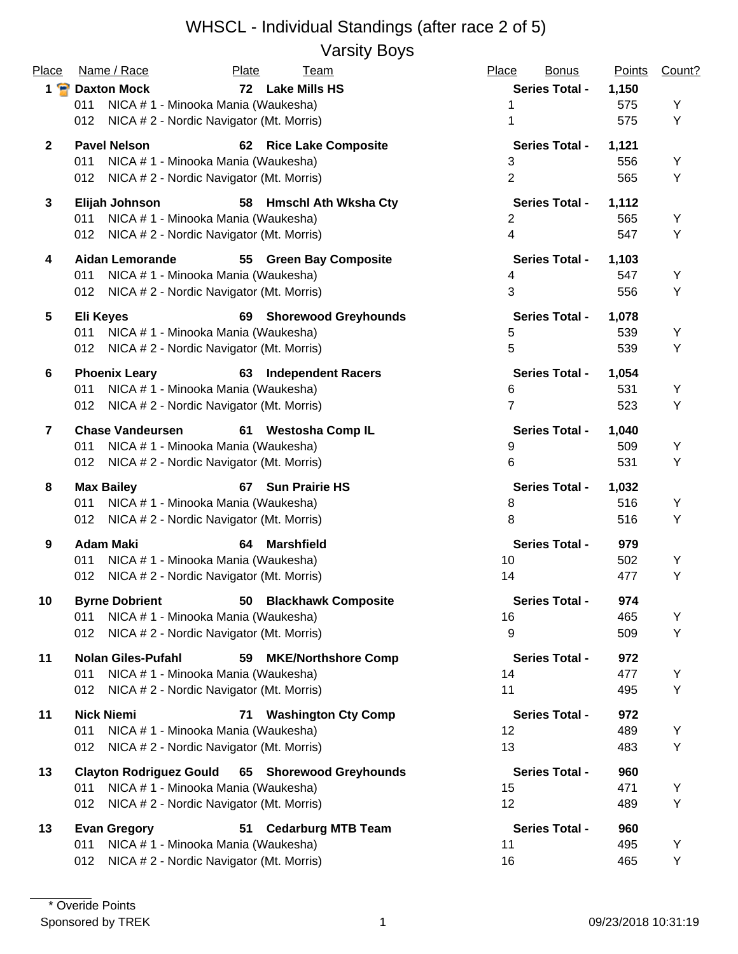Varsity Boys

| Place          | Name / Race<br>Plate<br>Team                                  | Place<br><b>Bonus</b> | <b>Points</b> | Count? |
|----------------|---------------------------------------------------------------|-----------------------|---------------|--------|
|                | 1 P Daxton Mock<br>72 Lake Mills HS                           | <b>Series Total -</b> | 1,150         |        |
|                | NICA # 1 - Minooka Mania (Waukesha)<br>011                    |                       | 575           | Y      |
|                | NICA # 2 - Nordic Navigator (Mt. Morris)<br>012               | 1                     | 575           | Y      |
| $\mathbf{2}$   | <b>Pavel Nelson</b><br>62 Rice Lake Composite                 | <b>Series Total -</b> | 1,121         |        |
|                | 011<br>NICA # 1 - Minooka Mania (Waukesha)                    | 3                     | 556           | Y      |
|                | NICA # 2 - Nordic Navigator (Mt. Morris)<br>012               | $\overline{2}$        | 565           | Υ      |
| 3              | Elijah Johnson<br><b>Hmschl Ath Wksha Cty</b><br>58           | <b>Series Total -</b> | 1,112         |        |
|                | 011<br>NICA # 1 - Minooka Mania (Waukesha)                    | $\overline{2}$        | 565           | Y      |
|                | NICA # 2 - Nordic Navigator (Mt. Morris)<br>012               | $\overline{4}$        | 547           | Y      |
| 4              | <b>Aidan Lemorande</b><br><b>Green Bay Composite</b><br>55    | <b>Series Total -</b> | 1,103         |        |
|                | 011<br>NICA # 1 - Minooka Mania (Waukesha)                    | 4                     | 547           | Υ      |
|                | NICA # 2 - Nordic Navigator (Mt. Morris)<br>012               | 3                     | 556           | Y      |
| 5              | <b>Eli Keyes</b><br><b>Shorewood Greyhounds</b><br>69         | <b>Series Total -</b> | 1,078         |        |
|                | NICA # 1 - Minooka Mania (Waukesha)<br>011                    | 5                     | 539           | Υ      |
|                | NICA # 2 - Nordic Navigator (Mt. Morris)<br>012               | 5                     | 539           | Y      |
| 6              | <b>Phoenix Leary</b><br><b>Independent Racers</b><br>63       | <b>Series Total -</b> | 1,054         |        |
|                | NICA #1 - Minooka Mania (Waukesha)<br>011                     | 6                     | 531           | Y      |
|                | NICA # 2 - Nordic Navigator (Mt. Morris)<br>012               | $\overline{7}$        | 523           | Υ      |
| $\overline{7}$ | <b>Chase Vandeursen</b><br>61 Westosha Comp IL                | <b>Series Total -</b> | 1,040         |        |
|                | NICA # 1 - Minooka Mania (Waukesha)<br>011                    | 9                     | 509           | Υ      |
|                | NICA # 2 - Nordic Navigator (Mt. Morris)<br>012               | 6                     | 531           | Υ      |
| 8              | <b>Max Bailey</b><br>67 Sun Prairie HS                        | <b>Series Total -</b> | 1,032         |        |
|                | NICA # 1 - Minooka Mania (Waukesha)<br>011                    | 8                     | 516           | Υ      |
|                | NICA # 2 - Nordic Navigator (Mt. Morris)<br>012               | 8                     | 516           | Υ      |
| 9              | <b>Adam Maki</b><br><b>Marshfield</b><br>64                   | <b>Series Total -</b> | 979           |        |
|                | NICA # 1 - Minooka Mania (Waukesha)<br>011                    | 10                    | 502           | Υ      |
|                | NICA # 2 - Nordic Navigator (Mt. Morris)<br>012               | 14                    | 477           | Υ      |
| 10             | 50 Blackhawk Composite<br><b>Byrne Dobrient</b>               | <b>Series Total -</b> | 974           |        |
|                | NICA # 1 - Minooka Mania (Waukesha)<br>011                    | 16                    | 465           | Υ      |
|                | 012<br>NICA # 2 - Nordic Navigator (Mt. Morris)               | 9                     | 509           | Y      |
| 11             | <b>Nolan Giles-Pufahl</b><br><b>MKE/Northshore Comp</b><br>59 | <b>Series Total -</b> | 972           |        |
|                | 011<br>NICA # 1 - Minooka Mania (Waukesha)                    | 14                    | 477           | Υ      |
|                | NICA # 2 - Nordic Navigator (Mt. Morris)<br>012               | 11                    | 495           | Y      |
| 11             | <b>Nick Niemi</b><br><b>Washington Cty Comp</b><br>71         | <b>Series Total -</b> | 972           |        |
|                | 011<br>NICA # 1 - Minooka Mania (Waukesha)                    | 12                    | 489           | Y      |
|                | NICA # 2 - Nordic Navigator (Mt. Morris)<br>012               | 13                    | 483           | Y      |
| 13             | <b>Clayton Rodriguez Gould</b><br>65 Shorewood Greyhounds     | <b>Series Total -</b> | 960           |        |
|                | NICA # 1 - Minooka Mania (Waukesha)<br>011                    | 15                    | 471           | Y      |
|                | NICA # 2 - Nordic Navigator (Mt. Morris)<br>012               | 12                    | 489           | Y      |
| 13             | 51 Cedarburg MTB Team<br><b>Evan Gregory</b>                  | <b>Series Total -</b> | 960           |        |
|                | NICA #1 - Minooka Mania (Waukesha)<br>011                     | 11                    | 495           | Y      |
|                | NICA # 2 - Nordic Navigator (Mt. Morris)<br>012               | 16                    | 465           | Y      |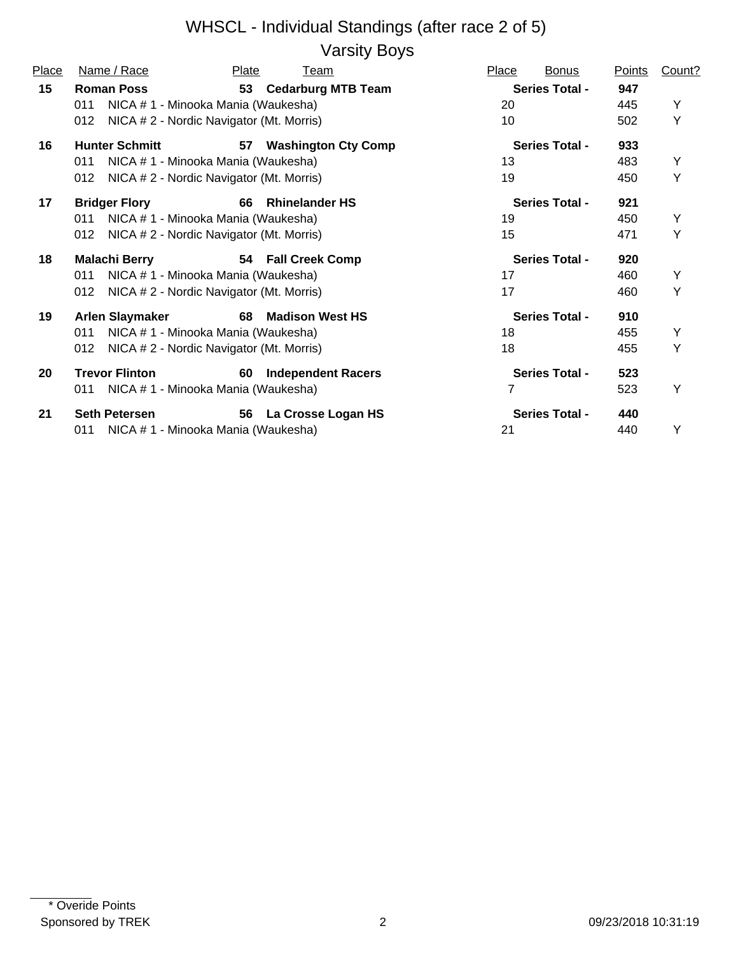Varsity Boys

| Place | Name / Race                                     | Plate | Team                       | Place | <b>Bonus</b>          | <b>Points</b> | Count? |
|-------|-------------------------------------------------|-------|----------------------------|-------|-----------------------|---------------|--------|
| 15    | <b>Roman Poss</b>                               |       | 53 Cedarburg MTB Team      |       | <b>Series Total -</b> | 947           |        |
|       | NICA # 1 - Minooka Mania (Waukesha)<br>011      |       |                            | 20    |                       | 445           | Y      |
|       | NICA # 2 - Nordic Navigator (Mt. Morris)<br>012 |       |                            | 10    |                       | 502           | Y      |
| 16    | <b>Hunter Schmitt</b>                           | 57    | <b>Washington Cty Comp</b> |       | <b>Series Total -</b> | 933           |        |
|       | NICA # 1 - Minooka Mania (Waukesha)<br>011      |       |                            | 13    |                       | 483           | Y      |
|       | NICA # 2 - Nordic Navigator (Mt. Morris)<br>012 |       |                            | 19    |                       | 450           | Y      |
| 17    | <b>Bridger Flory</b>                            | 66    | <b>Rhinelander HS</b>      |       | <b>Series Total -</b> | 921           |        |
|       | NICA # 1 - Minooka Mania (Waukesha)<br>011      |       |                            | 19    |                       | 450           | Y      |
|       | 012<br>NICA # 2 - Nordic Navigator (Mt. Morris) |       |                            | 15    |                       | 471           | Y      |
| 18    | <b>Malachi Berry</b>                            |       | 54 Fall Creek Comp         |       | <b>Series Total -</b> | 920           |        |
|       | NICA # 1 - Minooka Mania (Waukesha)<br>011      |       |                            | 17    |                       | 460           | Y      |
|       | NICA # 2 - Nordic Navigator (Mt. Morris)<br>012 |       |                            | 17    |                       | 460           | Y      |
| 19    | <b>Arlen Slaymaker</b>                          | 68    | <b>Madison West HS</b>     |       | <b>Series Total -</b> | 910           |        |
|       | NICA # 1 - Minooka Mania (Waukesha)<br>011      |       |                            | 18    |                       | 455           | Y      |
|       | NICA # 2 - Nordic Navigator (Mt. Morris)<br>012 |       |                            | 18    |                       | 455           | Y      |
| 20    | <b>Trevor Flinton</b>                           | 60    | <b>Independent Racers</b>  |       | <b>Series Total -</b> | 523           |        |
|       | NICA # 1 - Minooka Mania (Waukesha)<br>011      |       |                            | 7     |                       | 523           | Υ      |
| 21    | <b>Seth Petersen</b>                            | 56    | La Crosse Logan HS         |       | <b>Series Total -</b> | 440           |        |
|       | NICA # 1 - Minooka Mania (Waukesha)<br>011      |       |                            | 21    |                       | 440           | Υ      |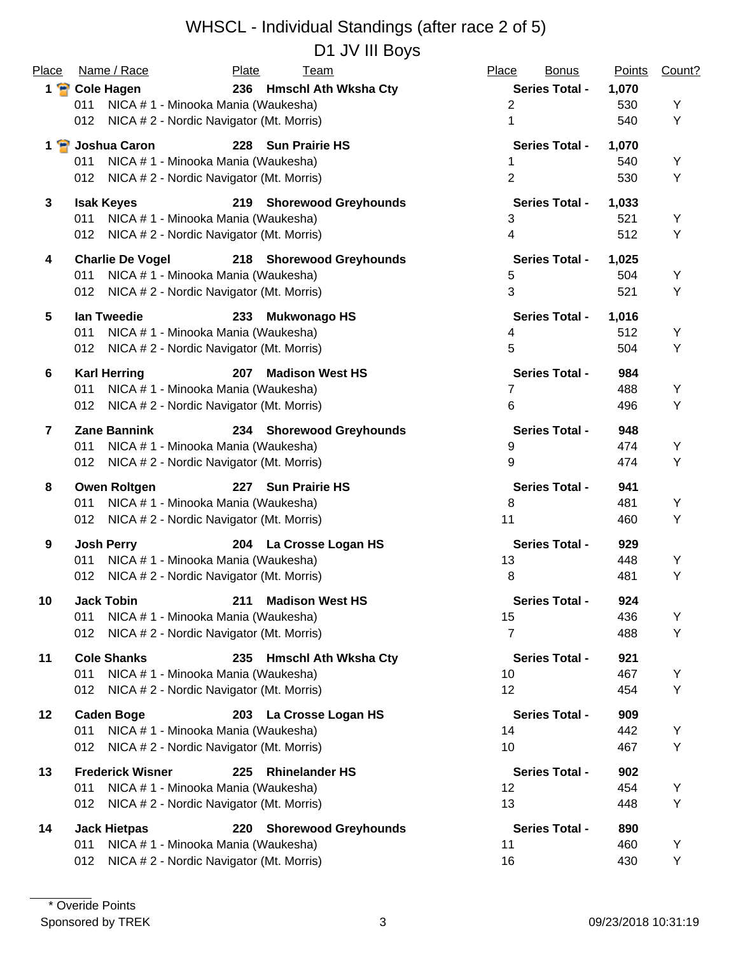D1 JV III Boys

| Place           | Name / Race                                       | Plate<br><b>Team</b>          | Place<br><b>Bonus</b>    | <b>Points</b> | Count? |
|-----------------|---------------------------------------------------|-------------------------------|--------------------------|---------------|--------|
|                 | 1 P Cole Hagen                                    | 236 Hmschl Ath Wksha Cty      | <b>Series Total -</b>    | 1,070         |        |
|                 | 011<br>NICA # 1 - Minooka Mania (Waukesha)        |                               | $\overline{2}$           | 530           | Υ      |
|                 | NICA # 2 - Nordic Navigator (Mt. Morris)<br>012   |                               | 1                        | 540           | Y      |
|                 | 1 B Joshua Caron                                  | 228 Sun Prairie HS            | <b>Series Total -</b>    | 1,070         |        |
|                 | NICA # 1 - Minooka Mania (Waukesha)<br>011        |                               | 1                        | 540           | Υ      |
|                 | NICA # 2 - Nordic Navigator (Mt. Morris)<br>012   |                               | $\overline{2}$           | 530           | Υ      |
| $\mathbf{3}$    | <b>Isak Keyes</b>                                 | 219 Shorewood Greyhounds      | <b>Series Total -</b>    | 1,033         |        |
|                 | NICA # 1 - Minooka Mania (Waukesha)<br>011        |                               | 3                        | 521           | Υ      |
|                 | NICA # 2 - Nordic Navigator (Mt. Morris)<br>012   |                               | $\overline{\mathcal{A}}$ | 512           | Υ      |
| 4               | <b>Charlie De Vogel</b>                           | 218 Shorewood Greyhounds      | <b>Series Total -</b>    | 1,025         |        |
|                 | NICA # 1 - Minooka Mania (Waukesha)<br>011        |                               | 5                        | 504           | Υ      |
|                 | NICA # 2 - Nordic Navigator (Mt. Morris)<br>012   |                               | 3                        | 521           | Υ      |
| 5               | lan Tweedie                                       | <b>Mukwonago HS</b><br>233    | <b>Series Total -</b>    | 1,016         |        |
|                 | NICA # 1 - Minooka Mania (Waukesha)<br>011        |                               | 4                        | 512           | Y      |
|                 | NICA # 2 - Nordic Navigator (Mt. Morris)<br>012   |                               | 5                        | 504           | Υ      |
| $6\phantom{1}6$ | <b>Karl Herring</b>                               | <b>Madison West HS</b><br>207 | <b>Series Total -</b>    | 984           |        |
|                 | NICA # 1 - Minooka Mania (Waukesha)<br>011        |                               | 7                        | 488           | Υ      |
|                 | NICA # 2 - Nordic Navigator (Mt. Morris)<br>012   |                               | 6                        | 496           | Υ      |
| $\overline{7}$  | <b>Zane Bannink</b>                               | 234 Shorewood Greyhounds      | <b>Series Total -</b>    | 948           |        |
|                 | NICA # 1 - Minooka Mania (Waukesha)<br>011        |                               | 9                        | 474           | Υ      |
|                 | NICA # 2 - Nordic Navigator (Mt. Morris)<br>012   |                               | 9                        | 474           | Y      |
| 8               | <b>Owen Roltgen</b>                               | 227 Sun Prairie HS            | <b>Series Total -</b>    | 941           |        |
|                 | NICA # 1 - Minooka Mania (Waukesha)<br>011        |                               | 8                        | 481           | Υ      |
|                 | 012 NICA # 2 - Nordic Navigator (Mt. Morris)      |                               | 11                       | 460           | Y      |
| 9               | <b>Josh Perry</b>                                 | 204 La Crosse Logan HS        | <b>Series Total -</b>    | 929           |        |
|                 | NICA # 1 - Minooka Mania (Waukesha)<br>011        |                               | 13                       | 448           | Υ      |
|                 | NICA # 2 - Nordic Navigator (Mt. Morris)<br>012   |                               | 8                        | 481           | Y      |
| 10              | <b>Jack Tobin</b>                                 | 211 Madison West HS           | <b>Series Total -</b>    | 924           |        |
|                 | NICA # 1 - Minooka Mania (Waukesha)<br>011        |                               | 15                       | 436           | Y      |
|                 | 012<br>NICA # 2 - Nordic Navigator (Mt. Morris)   |                               | $\overline{7}$           | 488           | Υ      |
|                 |                                                   |                               |                          |               |        |
| 11              | <b>Cole Shanks</b>                                | 235 Hmschl Ath Wksha Cty      | <b>Series Total -</b>    | 921           |        |
|                 | 011<br>NICA # 1 - Minooka Mania (Waukesha)<br>012 |                               | 10<br>12                 | 467<br>454    | Y<br>Υ |
|                 | NICA # 2 - Nordic Navigator (Mt. Morris)          |                               |                          |               |        |
| 12              | <b>Caden Boge</b>                                 | 203 La Crosse Logan HS        | <b>Series Total -</b>    | 909           |        |
|                 | NICA # 1 - Minooka Mania (Waukesha)<br>011        |                               | 14                       | 442           | Y      |
|                 | NICA # 2 - Nordic Navigator (Mt. Morris)<br>012   |                               | 10                       | 467           | Υ      |
| 13              | <b>Frederick Wisner</b>                           | <b>Rhinelander HS</b><br>225  | <b>Series Total -</b>    | 902           |        |
|                 | NICA # 1 - Minooka Mania (Waukesha)<br>011        |                               | 12                       | 454           | Y      |
|                 | NICA # 2 - Nordic Navigator (Mt. Morris)<br>012   |                               | 13                       | 448           | Υ      |
| 14              | <b>Jack Hietpas</b>                               | 220 Shorewood Greyhounds      | <b>Series Total -</b>    | 890           |        |
|                 | NICA # 1 - Minooka Mania (Waukesha)<br>011        |                               | 11                       | 460           | Υ      |
|                 | NICA # 2 - Nordic Navigator (Mt. Morris)<br>012   |                               | 16                       | 430           | Y      |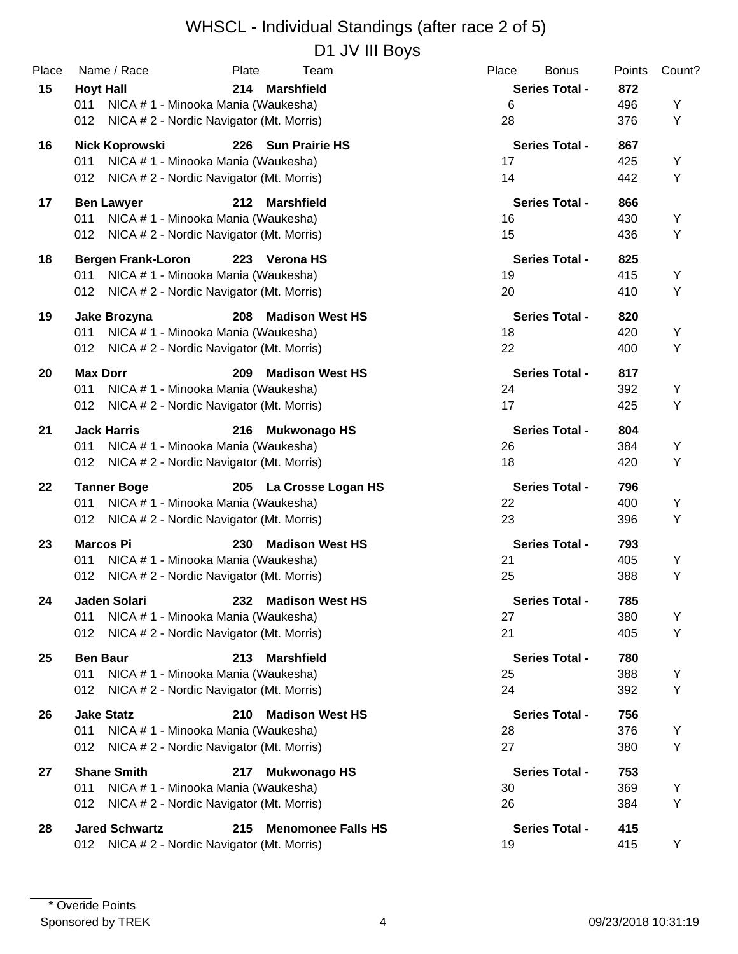#### WHSCL - Individual Standings (after race 2 of 5) D1 JV III Boys

| Place | Name / Race                                  | Plate<br>Team                            | Place<br><b>Bonus</b> | <b>Points</b> | Count? |
|-------|----------------------------------------------|------------------------------------------|-----------------------|---------------|--------|
| 15    | <b>Hoyt Hall</b>                             | <b>Marshfield</b><br>214                 | <b>Series Total -</b> | 872           |        |
|       | 011                                          | NICA # 1 - Minooka Mania (Waukesha)      | 6                     | 496           | Υ      |
|       | 012                                          | NICA # 2 - Nordic Navigator (Mt. Morris) | 28                    | 376           | Y      |
| 16    | Nick Koprowski                               | 226 Sun Prairie HS                       | <b>Series Total -</b> | 867           |        |
|       | 011                                          | NICA # 1 - Minooka Mania (Waukesha)      | 17                    | 425           | Υ      |
|       | 012                                          | NICA # 2 - Nordic Navigator (Mt. Morris) | 14                    | 442           | Υ      |
| 17    | <b>Ben Lawyer</b>                            | 212<br><b>Marshfield</b>                 | <b>Series Total -</b> | 866           |        |
|       | 011                                          | NICA # 1 - Minooka Mania (Waukesha)      | 16                    | 430           | Y      |
|       | 012                                          | NICA # 2 - Nordic Navigator (Mt. Morris) | 15                    | 436           | Υ      |
| 18    | <b>Bergen Frank-Loron</b>                    | 223 Verona HS                            | <b>Series Total -</b> | 825           |        |
|       | 011                                          | NICA # 1 - Minooka Mania (Waukesha)      | 19                    | 415           | Y      |
|       | 012                                          | NICA # 2 - Nordic Navigator (Mt. Morris) | 20                    | 410           | Y      |
| 19    | Jake Brozyna                                 | 208<br><b>Madison West HS</b>            | <b>Series Total -</b> | 820           |        |
|       | 011                                          | NICA # 1 - Minooka Mania (Waukesha)      | 18                    | 420           | Y      |
|       | 012                                          | NICA # 2 - Nordic Navigator (Mt. Morris) | 22                    | 400           | Y      |
| 20    | <b>Max Dorr</b>                              | 209<br><b>Madison West HS</b>            | <b>Series Total -</b> | 817           |        |
|       | 011                                          | NICA # 1 - Minooka Mania (Waukesha)      | 24                    | 392           | Y      |
|       | 012                                          | NICA # 2 - Nordic Navigator (Mt. Morris) | 17                    | 425           | Υ      |
| 21    | <b>Jack Harris</b>                           | 216<br><b>Mukwonago HS</b>               | <b>Series Total -</b> | 804           |        |
|       | 011                                          | NICA # 1 - Minooka Mania (Waukesha)      | 26                    | 384           | Y      |
|       | 012                                          | NICA # 2 - Nordic Navigator (Mt. Morris) | 18                    | 420           | Y      |
| 22    | <b>Tanner Boge</b>                           | 205 La Crosse Logan HS                   | <b>Series Total -</b> | 796           |        |
|       | 011                                          | NICA # 1 - Minooka Mania (Waukesha)      | 22                    | 400           | Υ      |
|       | 012                                          | NICA # 2 - Nordic Navigator (Mt. Morris) | 23                    | 396           | Υ      |
| 23    | <b>Marcos Pi</b>                             | <b>Madison West HS</b><br>230            | <b>Series Total -</b> | 793           |        |
|       | 011                                          | NICA # 1 - Minooka Mania (Waukesha)      | 21                    | 405           | Y      |
|       | 012                                          | NICA # 2 - Nordic Navigator (Mt. Morris) | 25                    | 388           | Y      |
| 24    | Jaden Solari                                 | 232 Madison West HS                      | <b>Series Total -</b> | 785           |        |
|       | 011                                          | NICA # 1 - Minooka Mania (Waukesha)      | 27                    | 380           | Υ      |
|       | 012                                          | NICA # 2 - Nordic Navigator (Mt. Morris) | 21                    | 405           | Y      |
| 25    | <b>Ben Baur</b>                              | 213<br><b>Marshfield</b>                 | <b>Series Total -</b> | 780           |        |
|       | 011                                          | NICA # 1 - Minooka Mania (Waukesha)      | 25                    | 388           | Y      |
|       | 012                                          | NICA # 2 - Nordic Navigator (Mt. Morris) | 24                    | 392           | Y      |
| 26    | <b>Jake Statz</b>                            | <b>Madison West HS</b><br>210            | <b>Series Total -</b> | 756           |        |
|       | 011                                          | NICA # 1 - Minooka Mania (Waukesha)      | 28                    | 376           | Υ      |
|       | 012                                          | NICA # 2 - Nordic Navigator (Mt. Morris) | 27                    | 380           | Y      |
| 27    | <b>Shane Smith</b>                           | 217<br><b>Mukwonago HS</b>               | <b>Series Total -</b> | 753           |        |
|       | 011                                          | NICA # 1 - Minooka Mania (Waukesha)      | 30                    | 369           | Υ      |
|       | 012                                          | NICA # 2 - Nordic Navigator (Mt. Morris) | 26                    | 384           | Y      |
| 28    | <b>Jared Schwartz</b>                        | 215<br><b>Menomonee Falls HS</b>         | <b>Series Total -</b> | 415           |        |
|       | 012 NICA # 2 - Nordic Navigator (Mt. Morris) |                                          | 19                    | 415           | Y      |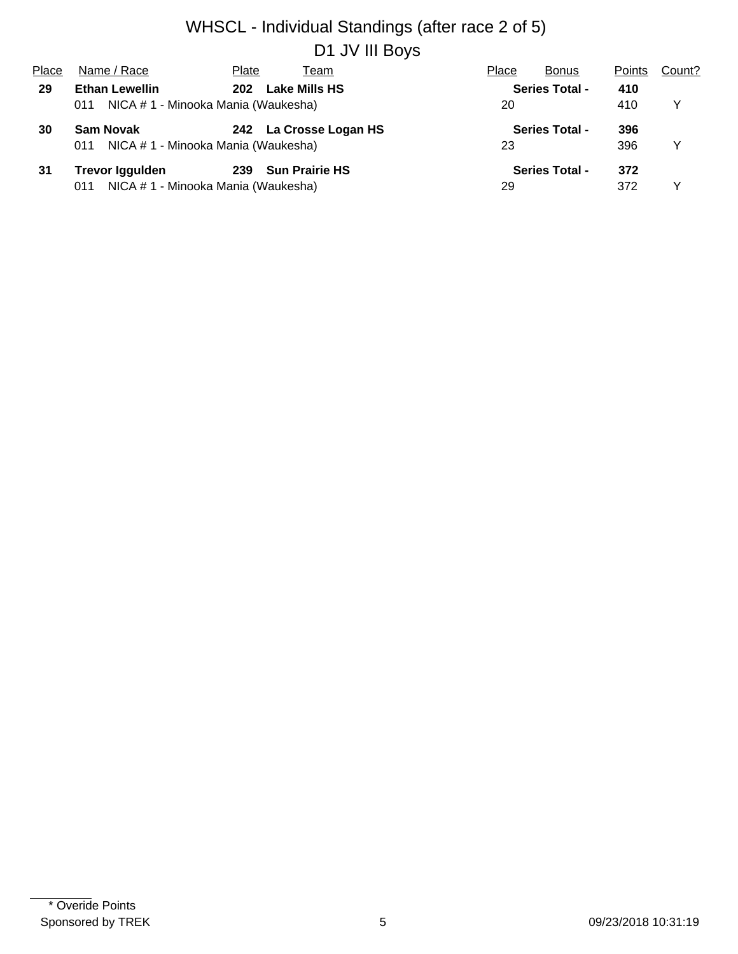#### WHSCL - Individual Standings (after race 2 of 5) D1 JV III Boys

| Place | Name / Race                                | Plate<br>Team          | Place<br><b>Bonus</b> | <b>Points</b> | Count? |
|-------|--------------------------------------------|------------------------|-----------------------|---------------|--------|
| 29    | <b>Ethan Lewellin</b>                      | Lake Mills HS<br>202   | <b>Series Total -</b> | 410           |        |
|       | NICA # 1 - Minooka Mania (Waukesha)<br>011 |                        | 20                    | 410           | Y      |
| 30    | <b>Sam Novak</b>                           | 242 La Crosse Logan HS | <b>Series Total -</b> | 396           |        |
|       | NICA # 1 - Minooka Mania (Waukesha)<br>011 |                        | 23                    | 396           | Y      |
| 31    | <b>Trevor Iggulden</b>                     | 239 Sun Prairie HS     | <b>Series Total -</b> | 372           |        |
|       | NICA # 1 - Minooka Mania (Waukesha)<br>011 |                        | 29                    | 372           |        |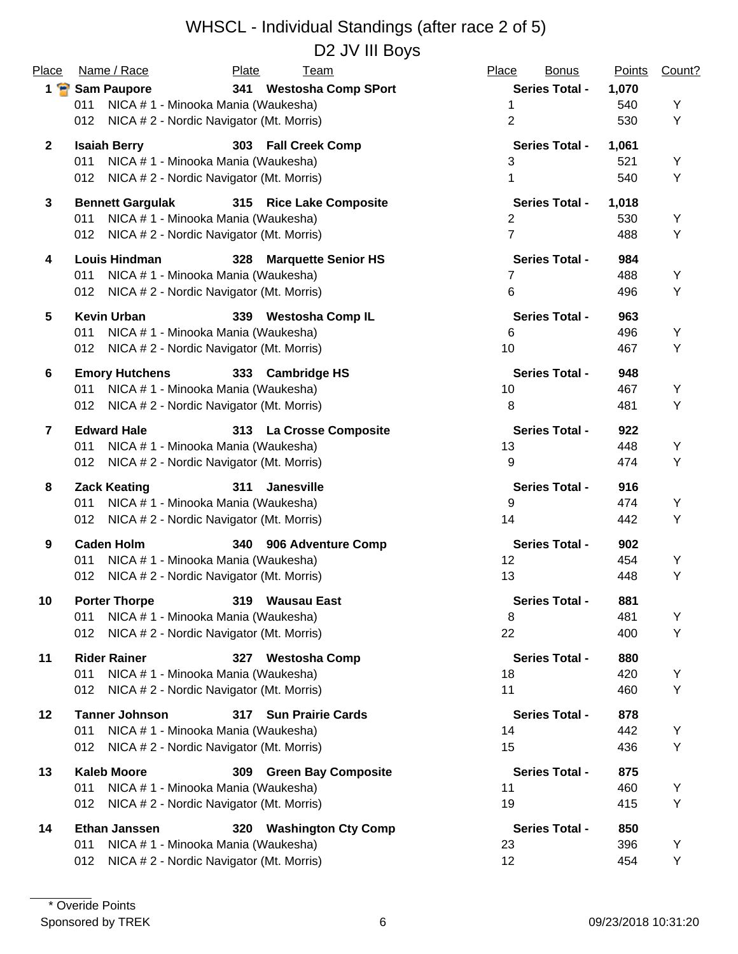| Place           | Name / Race                                  | Plate<br><b>Team</b>                     | Place<br><b>Bonus</b> | <b>Points</b> | Count? |
|-----------------|----------------------------------------------|------------------------------------------|-----------------------|---------------|--------|
|                 | 1 Sam Paupore                                | 341<br><b>Westosha Comp SPort</b>        | <b>Series Total -</b> | 1,070         |        |
|                 | 011                                          | NICA # 1 - Minooka Mania (Waukesha)      | 1                     | 540           | Υ      |
|                 | 012                                          | NICA # 2 - Nordic Navigator (Mt. Morris) | $\overline{2}$        | 530           | Υ      |
| $\mathbf{2}$    | <b>Isaiah Berry</b>                          | 303 Fall Creek Comp                      | <b>Series Total -</b> | 1,061         |        |
|                 | 011                                          | NICA # 1 - Minooka Mania (Waukesha)      | 3                     | 521           | Υ      |
|                 | 012 NICA # 2 - Nordic Navigator (Mt. Morris) |                                          | 1                     | 540           | Υ      |
| $\mathbf{3}$    | <b>Bennett Gargulak</b>                      | 315 Rice Lake Composite                  | <b>Series Total -</b> | 1,018         |        |
|                 | 011                                          | NICA # 1 - Minooka Mania (Waukesha)      | 2                     | 530           | Υ      |
|                 | 012                                          | NICA # 2 - Nordic Navigator (Mt. Morris) | $\overline{7}$        | 488           | Υ      |
| 4               | <b>Louis Hindman</b>                         | <b>Marquette Senior HS</b><br>328        | <b>Series Total -</b> | 984           |        |
|                 | 011                                          | NICA #1 - Minooka Mania (Waukesha)       | 7                     | 488           | Υ      |
|                 | 012                                          | NICA # 2 - Nordic Navigator (Mt. Morris) | 6                     | 496           | Υ      |
| 5               | <b>Kevin Urban</b>                           | 339 Westosha Comp IL                     | <b>Series Total -</b> | 963           |        |
|                 | 011                                          | NICA # 1 - Minooka Mania (Waukesha)      | 6                     | 496           | Υ      |
|                 | 012                                          | NICA # 2 - Nordic Navigator (Mt. Morris) | 10                    | 467           | Υ      |
| $6\phantom{1}6$ | <b>Emory Hutchens</b>                        | 333 Cambridge HS                         | <b>Series Total -</b> | 948           |        |
|                 | 011                                          | NICA # 1 - Minooka Mania (Waukesha)      | 10                    | 467           | Υ      |
|                 | 012                                          | NICA # 2 - Nordic Navigator (Mt. Morris) | 8                     | 481           | Υ      |
| $\overline{7}$  | <b>Edward Hale</b>                           | 313 La Crosse Composite                  | <b>Series Total -</b> | 922           |        |
|                 | NICA # 1 - Minooka Mania (Waukesha)<br>011   |                                          | 13                    | 448           | Υ      |
|                 | 012                                          | NICA # 2 - Nordic Navigator (Mt. Morris) | 9                     | 474           | Υ      |
| 8               | <b>Zack Keating</b>                          | 311<br>Janesville                        | <b>Series Total -</b> | 916           |        |
|                 | NICA # 1 - Minooka Mania (Waukesha)<br>011   |                                          | 9                     | 474           | Y      |
|                 | 012                                          | NICA # 2 - Nordic Navigator (Mt. Morris) | 14                    | 442           | Υ      |
| 9               | <b>Caden Holm</b>                            | 906 Adventure Comp<br>340                | <b>Series Total -</b> | 902           |        |
|                 | 011                                          | NICA # 1 - Minooka Mania (Waukesha)      | 12                    | 454           | Y      |
|                 | 012                                          | NICA # 2 - Nordic Navigator (Mt. Morris) | 13                    | 448           | Υ      |
| 10              | <b>Porter Thorpe</b>                         | 319 Wausau East                          | <b>Series Total -</b> | 881           |        |
|                 | 011                                          | NICA # 1 - Minooka Mania (Waukesha)      | 8                     | 481           | Υ      |
|                 | 012                                          | NICA # 2 - Nordic Navigator (Mt. Morris) | 22                    | 400           | Υ      |
| 11              | <b>Rider Rainer</b>                          | 327 Westosha Comp                        | <b>Series Total -</b> | 880           |        |
|                 | 011                                          | NICA # 1 - Minooka Mania (Waukesha)      | 18                    | 420           | Y      |
|                 | 012                                          | NICA # 2 - Nordic Navigator (Mt. Morris) | 11                    | 460           | Υ      |
| 12              | <b>Tanner Johnson</b>                        | 317 Sun Prairie Cards                    | <b>Series Total -</b> | 878           |        |
|                 | 011                                          | NICA # 1 - Minooka Mania (Waukesha)      | 14                    | 442           | Y      |
|                 | 012                                          | NICA # 2 - Nordic Navigator (Mt. Morris) | 15                    | 436           | Υ      |
| 13              | <b>Kaleb Moore</b>                           | 309 Green Bay Composite                  | <b>Series Total -</b> | 875           |        |
|                 | 011                                          | NICA # 1 - Minooka Mania (Waukesha)      | 11                    | 460           | Y      |
|                 | 012                                          | NICA # 2 - Nordic Navigator (Mt. Morris) | 19                    | 415           | Υ      |
| 14              | <b>Ethan Janssen</b>                         | 320 Washington Cty Comp                  | <b>Series Total -</b> | 850           |        |
|                 | 011                                          | NICA # 1 - Minooka Mania (Waukesha)      | 23                    | 396           | Y      |
|                 | 012                                          | NICA # 2 - Nordic Navigator (Mt. Morris) | 12                    | 454           | Υ      |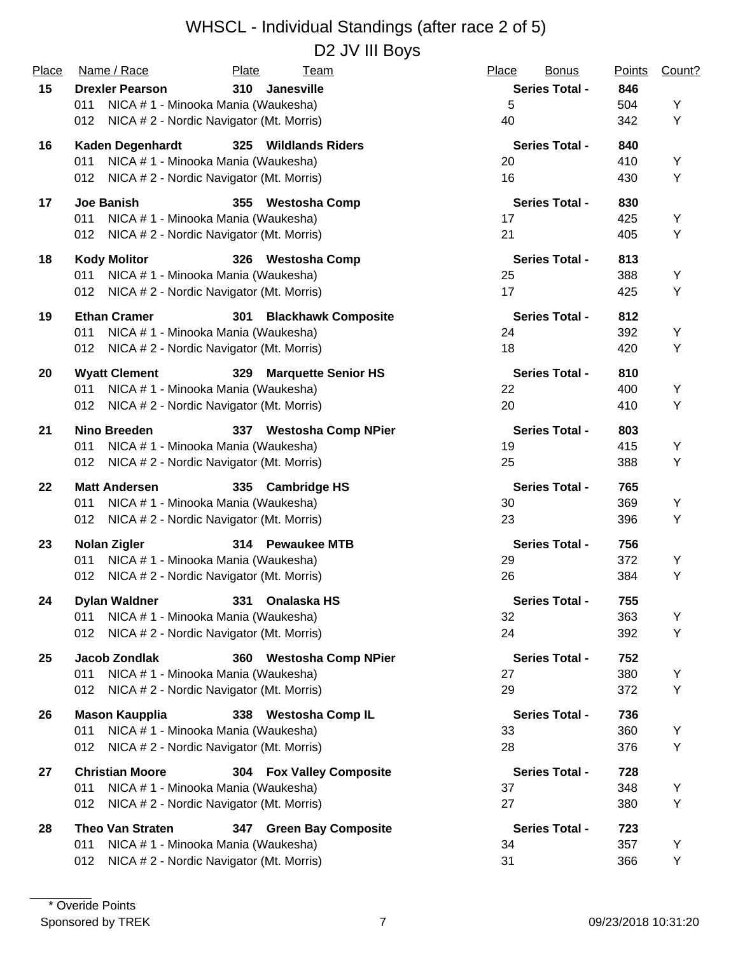#### WHSCL - Individual Standings (after race 2 of 5) D2 JV III Boys

| Place | Name / Race                                  | Plate<br><u>Team</u>                     | Place<br><b>Bonus</b> | <b>Points</b> | Count? |
|-------|----------------------------------------------|------------------------------------------|-----------------------|---------------|--------|
| 15    | <b>Drexler Pearson</b>                       | 310<br>Janesville                        | <b>Series Total -</b> | 846           |        |
|       | 011                                          | NICA # 1 - Minooka Mania (Waukesha)      | 5                     | 504           | Y      |
|       | 012                                          | NICA # 2 - Nordic Navigator (Mt. Morris) | 40                    | 342           | Y      |
| 16    | <b>Kaden Degenhardt</b>                      | 325 Wildlands Riders                     | <b>Series Total -</b> | 840           |        |
|       | 011                                          | NICA # 1 - Minooka Mania (Waukesha)      | 20                    | 410           | Y      |
|       | 012                                          | NICA # 2 - Nordic Navigator (Mt. Morris) | 16                    | 430           | Y      |
| 17    | Joe Banish                                   | 355 Westosha Comp                        | <b>Series Total -</b> | 830           |        |
|       | 011                                          | NICA # 1 - Minooka Mania (Waukesha)      | 17                    | 425           | Y      |
|       | 012                                          | NICA # 2 - Nordic Navigator (Mt. Morris) | 21                    | 405           | Y      |
| 18    | <b>Kody Molitor</b>                          | 326 Westosha Comp                        | <b>Series Total -</b> | 813           |        |
|       | 011                                          | NICA # 1 - Minooka Mania (Waukesha)      | 25                    | 388           | Y      |
|       | 012 NICA # 2 - Nordic Navigator (Mt. Morris) |                                          | 17                    | 425           | Y      |
| 19    | <b>Ethan Cramer</b>                          | 301<br><b>Blackhawk Composite</b>        | <b>Series Total -</b> | 812           |        |
|       | 011                                          | NICA # 1 - Minooka Mania (Waukesha)      | 24                    | 392           | Y      |
|       | 012                                          | NICA # 2 - Nordic Navigator (Mt. Morris) | 18                    | 420           | Y      |
| 20    | <b>Wyatt Clement</b>                         | 329<br><b>Marquette Senior HS</b>        | <b>Series Total -</b> | 810           |        |
|       | 011                                          | NICA # 1 - Minooka Mania (Waukesha)      | 22                    | 400           | Y      |
|       | 012                                          | NICA # 2 - Nordic Navigator (Mt. Morris) | 20                    | 410           | Y      |
| 21    | <b>Nino Breeden</b>                          | 337 Westosha Comp NPier                  | <b>Series Total -</b> | 803           |        |
|       | 011                                          | NICA # 1 - Minooka Mania (Waukesha)      | 19                    | 415           | Υ      |
|       | 012                                          | NICA # 2 - Nordic Navigator (Mt. Morris) | 25                    | 388           | Υ      |
| 22    | <b>Matt Andersen</b>                         | 335<br><b>Cambridge HS</b>               | <b>Series Total -</b> | 765           |        |
|       | 011                                          | NICA # 1 - Minooka Mania (Waukesha)      | 30                    | 369           | Y      |
|       | 012 NICA # 2 - Nordic Navigator (Mt. Morris) |                                          | 23                    | 396           | Υ      |
| 23    | <b>Nolan Zigler</b>                          | 314 Pewaukee MTB                         | <b>Series Total -</b> | 756           |        |
|       | 011                                          | NICA # 1 - Minooka Mania (Waukesha)      | 29                    | 372           | Y      |
|       | 012                                          | NICA # 2 - Nordic Navigator (Mt. Morris) | 26                    | 384           | Y      |
| 24    | <b>Dylan Waldner</b>                         | 331 Onalaska HS                          | <b>Series Total -</b> | 755           |        |
|       | 011                                          | NICA #1 - Minooka Mania (Waukesha)       | 32                    | 363           | Υ      |
|       | 012                                          | NICA # 2 - Nordic Navigator (Mt. Morris) | 24                    | 392           | Y      |
| 25    | <b>Jacob Zondlak</b>                         | 360 Westosha Comp NPier                  | <b>Series Total -</b> | 752           |        |
|       | 011                                          | NICA # 1 - Minooka Mania (Waukesha)      | 27                    | 380           | Y      |
|       | 012                                          | NICA # 2 - Nordic Navigator (Mt. Morris) | 29                    | 372           | Y      |
| 26    | <b>Mason Kaupplia</b>                        | 338 Westosha Comp IL                     | <b>Series Total -</b> | 736           |        |
|       | 011                                          | NICA # 1 - Minooka Mania (Waukesha)      | 33                    | 360           | Υ      |
|       | 012                                          | NICA #2 - Nordic Navigator (Mt. Morris)  | 28                    | 376           | Y      |
| 27    | <b>Christian Moore</b>                       | 304 Fox Valley Composite                 | <b>Series Total -</b> | 728           |        |
|       | 011                                          | NICA # 1 - Minooka Mania (Waukesha)      | 37                    | 348           | Υ      |
|       | 012                                          | NICA # 2 - Nordic Navigator (Mt. Morris) | 27                    | 380           | Y      |
| 28    | <b>Theo Van Straten</b>                      | 347 Green Bay Composite                  | <b>Series Total -</b> | 723           |        |
|       | 011                                          | NICA # 1 - Minooka Mania (Waukesha)      | 34                    | 357           | Υ      |
|       | 012                                          | NICA # 2 - Nordic Navigator (Mt. Morris) | 31                    | 366           | Υ      |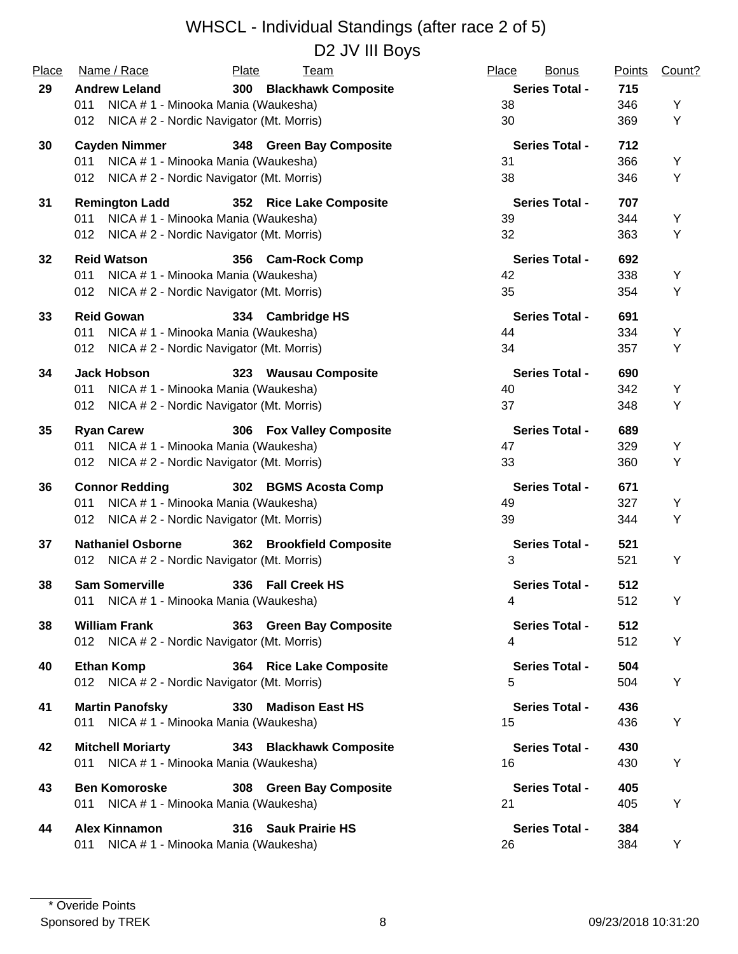| D2 JV III Boys |  |  |
|----------------|--|--|
|----------------|--|--|

| Place | Name / Race                                                          | Plate<br><b>Team</b>               | Place<br><b>Bonus</b> | <b>Points</b> | Count? |
|-------|----------------------------------------------------------------------|------------------------------------|-----------------------|---------------|--------|
| 29    | <b>Andrew Leland</b>                                                 | 300<br><b>Blackhawk Composite</b>  | <b>Series Total -</b> | 715           |        |
|       | NICA # 1 - Minooka Mania (Waukesha)<br>011                           |                                    | 38                    | 346           | Υ      |
|       | 012 NICA # 2 - Nordic Navigator (Mt. Morris)                         |                                    | 30                    | 369           | Y      |
| 30    | <b>Cayden Nimmer</b>                                                 | 348 Green Bay Composite            | <b>Series Total -</b> | 712           |        |
|       | NICA # 1 - Minooka Mania (Waukesha)<br>011                           |                                    | 31                    | 366           | Υ      |
|       | 012 NICA # 2 - Nordic Navigator (Mt. Morris)                         |                                    | 38                    | 346           | Υ      |
| 31    | <b>Remington Ladd</b>                                                | 352 Rice Lake Composite            | <b>Series Total -</b> | 707           |        |
|       | NICA # 1 - Minooka Mania (Waukesha)<br>011                           |                                    | 39                    | 344           | Y      |
|       | 012 NICA # 2 - Nordic Navigator (Mt. Morris)                         |                                    | 32                    | 363           | Υ      |
| 32    | <b>Reid Watson</b>                                                   | 356 Cam-Rock Comp                  | <b>Series Total -</b> | 692           |        |
|       | 011<br>NICA # 1 - Minooka Mania (Waukesha)                           |                                    | 42                    | 338           | Υ      |
|       | 012 NICA # 2 - Nordic Navigator (Mt. Morris)                         |                                    | 35                    | 354           | Υ      |
| 33    | <b>Reid Gowan</b>                                                    | 334 Cambridge HS                   | <b>Series Total -</b> | 691           |        |
|       | NICA # 1 - Minooka Mania (Waukesha)<br>011                           |                                    | 44                    | 334           | Υ      |
|       | NICA # 2 - Nordic Navigator (Mt. Morris)<br>012                      |                                    | 34                    | 357           | Υ      |
| 34    | <b>Jack Hobson</b>                                                   |                                    | <b>Series Total -</b> | 690           |        |
|       | NICA # 1 - Minooka Mania (Waukesha)<br>011                           | 323 Wausau Composite               | 40                    | 342           | Υ      |
|       | 012 NICA # 2 - Nordic Navigator (Mt. Morris)                         |                                    | 37                    | 348           | Υ      |
|       |                                                                      |                                    |                       |               |        |
| 35    | <b>Ryan Carew</b>                                                    | 306 Fox Valley Composite           | <b>Series Total -</b> | 689           |        |
|       | NICA # 1 - Minooka Mania (Waukesha)<br>011                           |                                    | 47                    | 329           | Υ      |
|       | NICA # 2 - Nordic Navigator (Mt. Morris)<br>012                      |                                    | 33                    | 360           | Υ      |
| 36    | <b>Connor Redding</b>                                                | 302 BGMS Acosta Comp               | <b>Series Total -</b> | 671           |        |
|       | NICA # 1 - Minooka Mania (Waukesha)<br>011                           |                                    | 49                    | 327           | Υ      |
|       | NICA # 2 - Nordic Navigator (Mt. Morris)<br>012                      |                                    | 39                    | 344           | Υ      |
| 37    | <b>Nathaniel Osborne</b>                                             | 362<br><b>Brookfield Composite</b> | <b>Series Total -</b> | 521           |        |
|       | 012 NICA # 2 - Nordic Navigator (Mt. Morris)                         |                                    | 3                     | 521           | Y      |
| 38    | <b>Sam Somerville</b>                                                | 336 Fall Creek HS                  | <b>Series Total -</b> | 512           |        |
|       | 011 NICA # 1 - Minooka Mania (Waukesha)                              |                                    | 4                     | 512           | Y      |
|       |                                                                      |                                    | <b>Series Total -</b> |               |        |
| 38    | <b>William Frank</b><br>012 NICA # 2 - Nordic Navigator (Mt. Morris) | 363 Green Bay Composite            | 4                     | 512<br>512    | Y      |
|       |                                                                      |                                    |                       |               |        |
| 40    | <b>Ethan Komp</b>                                                    | 364 Rice Lake Composite            | <b>Series Total -</b> | 504           |        |
|       | 012 NICA # 2 - Nordic Navigator (Mt. Morris)                         |                                    | 5                     | 504           | Y      |
| 41    | <b>Martin Panofsky</b>                                               | 330 Madison East HS                | <b>Series Total -</b> | 436           |        |
|       | 011 NICA # 1 - Minooka Mania (Waukesha)                              |                                    | 15                    | 436           | Y      |
| 42    | <b>Mitchell Moriarty</b>                                             | 343 Blackhawk Composite            | <b>Series Total -</b> | 430           |        |
|       | 011 NICA # 1 - Minooka Mania (Waukesha)                              |                                    | 16                    | 430           | Υ      |
|       |                                                                      |                                    |                       |               |        |
| 43    | <b>Ben Komoroske</b>                                                 | 308 Green Bay Composite            | <b>Series Total -</b> | 405           |        |
|       | 011 NICA # 1 - Minooka Mania (Waukesha)                              |                                    | 21                    | 405           | Υ      |
| 44    | <b>Alex Kinnamon</b>                                                 | 316 Sauk Prairie HS                | <b>Series Total -</b> | 384           |        |
|       | NICA # 1 - Minooka Mania (Waukesha)<br>011                           |                                    | 26                    | 384           | Y      |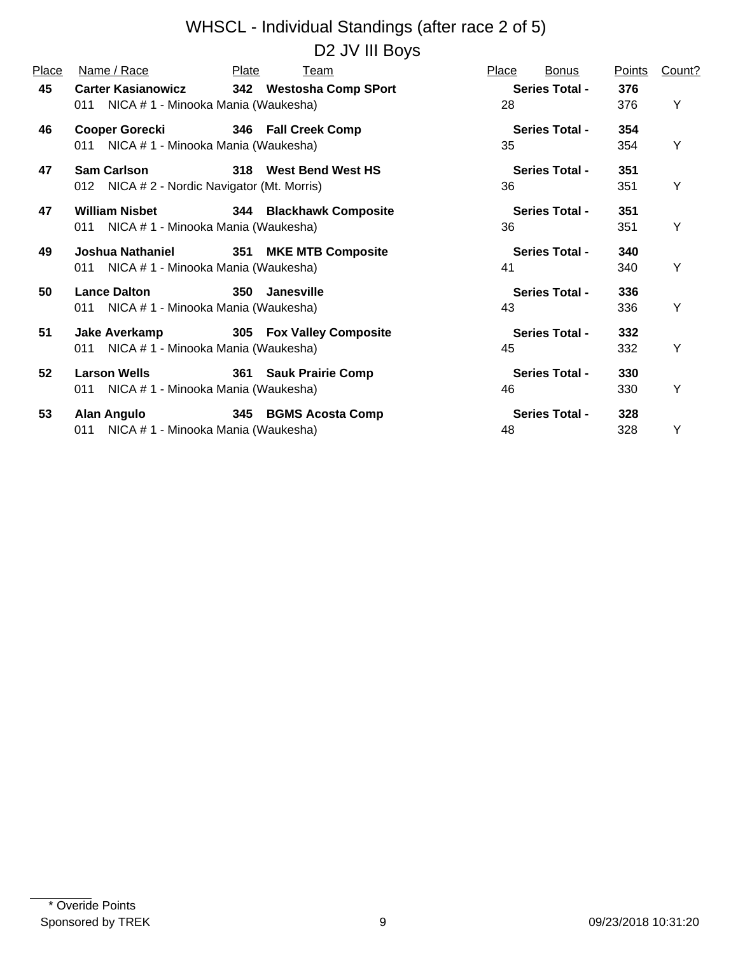| Place | Name / Race                                                              | Plate<br><u>Team</u>            | Place<br><b>Bonus</b>       | <b>Points</b> | Count? |
|-------|--------------------------------------------------------------------------|---------------------------------|-----------------------------|---------------|--------|
| 45    | <b>Carter Kasianowicz</b><br>011 NICA # 1 - Minooka Mania (Waukesha)     | 342 Westosha Comp SPort         | <b>Series Total -</b><br>28 | 376<br>376    | Υ      |
| 46    | <b>Cooper Gorecki</b><br>011 NICA # 1 - Minooka Mania (Waukesha)         | 346 Fall Creek Comp             | <b>Series Total -</b><br>35 | 354<br>354    | Υ      |
| 47    | <b>Sam Carlson</b><br>012 NICA # 2 - Nordic Navigator (Mt. Morris)       | 318 West Bend West HS           | <b>Series Total -</b><br>36 | 351<br>351    | Y      |
| 47    | William Nisbet <b>William</b><br>011 NICA # 1 - Minooka Mania (Waukesha) | 344 Blackhawk Composite         | <b>Series Total -</b><br>36 | 351<br>351    | Y      |
| 49    | Joshua Nathaniel<br>011 NICA # 1 - Minooka Mania (Waukesha)              | 351 MKE MTB Composite           | <b>Series Total -</b><br>41 | 340<br>340    | Y      |
| 50    | <b>Lance Dalton</b><br>011 NICA # 1 - Minooka Mania (Waukesha)           | 350 Janesville                  | <b>Series Total -</b><br>43 | 336<br>336    | Y      |
| 51    | Jake Averkamp<br>011 NICA # 1 - Minooka Mania (Waukesha)                 | <b>305 Fox Valley Composite</b> | <b>Series Total -</b><br>45 | 332<br>332    | Y      |
| 52    | <b>Larson Wells</b><br>011 NICA # 1 - Minooka Mania (Waukesha)           | 361 Sauk Prairie Comp           | <b>Series Total -</b><br>46 | 330<br>330    | Y      |
| 53    | <b>Alan Angulo</b><br>011 NICA # 1 - Minooka Mania (Waukesha)            | 345 BGMS Acosta Comp            | <b>Series Total -</b><br>48 | 328<br>328    | Υ      |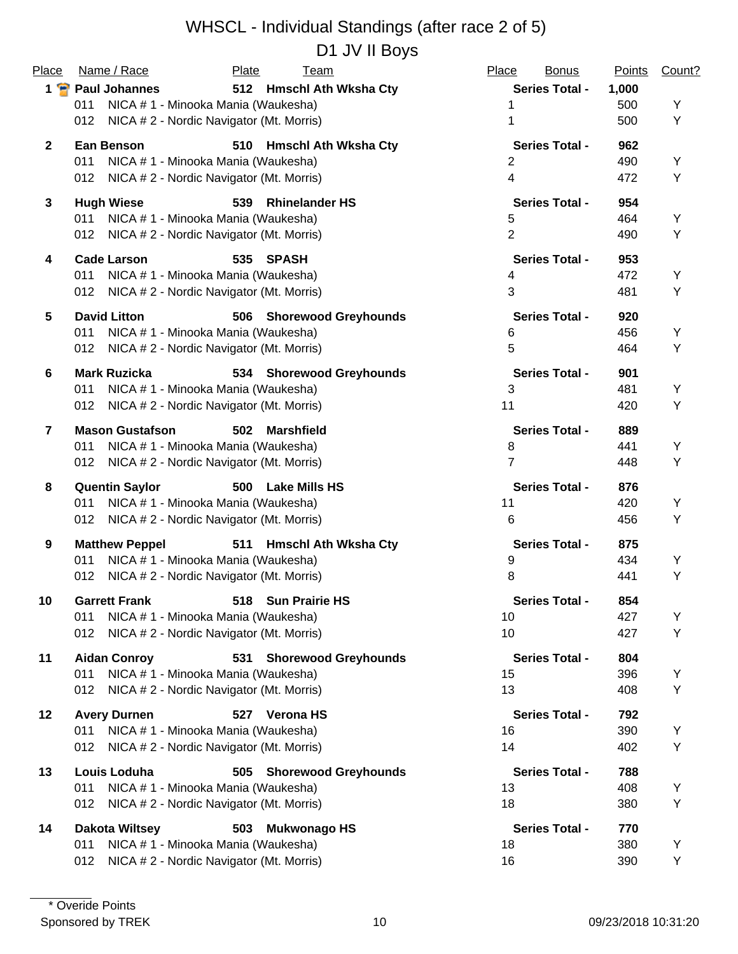| Place           | Name / Race                                      | Plate<br><b>Team</b>               | Place<br><b>Bonus</b> | <b>Points</b> | Count? |
|-----------------|--------------------------------------------------|------------------------------------|-----------------------|---------------|--------|
|                 | 1 Paul Johannes                                  | 512 Hmschl Ath Wksha Cty           | <b>Series Total -</b> | 1,000         |        |
|                 | NICA # 1 - Minooka Mania (Waukesha)<br>011       |                                    |                       | 500           | Υ      |
|                 | NICA # 2 - Nordic Navigator (Mt. Morris)<br>012  |                                    | 1                     | 500           | Υ      |
| $\mathbf{2}$    | <b>Ean Benson</b>                                | 510<br><b>Hmschl Ath Wksha Cty</b> | <b>Series Total -</b> | 962           |        |
|                 | 011<br>NICA # 1 - Minooka Mania (Waukesha)       |                                    | 2                     | 490           | Υ      |
|                 | NICA # 2 - Nordic Navigator (Mt. Morris)<br>012  |                                    | 4                     | 472           | Υ      |
| $\mathbf{3}$    | <b>Hugh Wiese</b>                                | <b>Rhinelander HS</b><br>539       | <b>Series Total -</b> | 954           |        |
|                 | NICA # 1 - Minooka Mania (Waukesha)<br>011       |                                    | 5                     | 464           | Y      |
|                 | NICA # 2 - Nordic Navigator (Mt. Morris)<br>012  |                                    | $\overline{2}$        | 490           | Υ      |
| 4               | <b>Cade Larson</b>                               | SPASH<br>535                       | <b>Series Total -</b> | 953           |        |
|                 | 011<br>NICA # 1 - Minooka Mania (Waukesha)       |                                    | 4                     | 472           | Υ      |
|                 | NICA # 2 - Nordic Navigator (Mt. Morris)<br>012  |                                    | 3                     | 481           | Υ      |
| $5\phantom{.0}$ | <b>David Litton</b>                              | 506 Shorewood Greyhounds           | <b>Series Total -</b> | 920           |        |
|                 | NICA # 1 - Minooka Mania (Waukesha)<br>011       |                                    | 6                     | 456           | Υ      |
|                 | NICA # 2 - Nordic Navigator (Mt. Morris)<br>012. |                                    | 5                     | 464           | Υ      |
| 6               | <b>Mark Ruzicka</b>                              | 534 Shorewood Greyhounds           | <b>Series Total -</b> | 901           |        |
|                 | NICA # 1 - Minooka Mania (Waukesha)<br>011       |                                    | 3                     | 481           | Υ      |
|                 | NICA # 2 - Nordic Navigator (Mt. Morris)<br>012  |                                    | 11                    | 420           | Υ      |
| $\overline{7}$  | <b>Mason Gustafson</b>                           | 502<br><b>Marshfield</b>           | <b>Series Total -</b> | 889           |        |
|                 | NICA # 1 - Minooka Mania (Waukesha)<br>011       |                                    | 8                     | 441           | Υ      |
|                 | NICA # 2 - Nordic Navigator (Mt. Morris)<br>012  |                                    | 7                     | 448           | Υ      |
| 8               | <b>Quentin Saylor</b>                            | 500<br><b>Lake Mills HS</b>        | <b>Series Total -</b> | 876           |        |
|                 | NICA # 1 - Minooka Mania (Waukesha)<br>011       |                                    | 11                    | 420           | Υ      |
|                 | NICA # 2 - Nordic Navigator (Mt. Morris)<br>012  |                                    | 6                     | 456           | Υ      |
| 9               | <b>Matthew Peppel</b>                            | 511<br><b>Hmschl Ath Wksha Cty</b> | <b>Series Total -</b> | 875           |        |
|                 | NICA # 1 - Minooka Mania (Waukesha)<br>011       |                                    | 9                     | 434           | Υ      |
|                 | NICA # 2 - Nordic Navigator (Mt. Morris)<br>012  |                                    | 8                     | 441           | Υ      |
| 10              | <b>Garrett Frank</b>                             | 518 Sun Prairie HS                 | <b>Series Total -</b> | 854           |        |
|                 | NICA # 1 - Minooka Mania (Waukesha)<br>011       |                                    | 10                    | 427           | Υ      |
|                 | NICA # 2 - Nordic Navigator (Mt. Morris)<br>012  |                                    | 10                    | 427           | Υ      |
| 11              | <b>Aidan Conroy</b>                              | <b>Shorewood Greyhounds</b><br>531 | <b>Series Total -</b> | 804           |        |
|                 | NICA #1 - Minooka Mania (Waukesha)<br>011        |                                    | 15                    | 396           | Y      |
|                 | NICA # 2 - Nordic Navigator (Mt. Morris)<br>012  |                                    | 13                    | 408           | Υ      |
| 12              | <b>Avery Durnen</b>                              | 527 Verona HS                      | <b>Series Total -</b> | 792           |        |
|                 | NICA # 1 - Minooka Mania (Waukesha)<br>011       |                                    | 16                    | 390           | Y      |
|                 | NICA # 2 - Nordic Navigator (Mt. Morris)<br>012  |                                    | 14                    | 402           | Υ      |
| 13              | Louis Loduha                                     | 505 Shorewood Greyhounds           | <b>Series Total -</b> | 788           |        |
|                 | NICA # 1 - Minooka Mania (Waukesha)<br>011       |                                    | 13                    | 408           | Y      |
|                 | NICA # 2 - Nordic Navigator (Mt. Morris)<br>012  |                                    | 18                    | 380           | Υ      |
| 14              | <b>Dakota Wiltsey</b>                            | <b>Mukwonago HS</b><br>503         | <b>Series Total -</b> | 770           |        |
|                 | NICA # 1 - Minooka Mania (Waukesha)<br>011       |                                    | 18                    | 380           | Y      |
|                 | NICA # 2 - Nordic Navigator (Mt. Morris)<br>012  |                                    | 16                    | 390           | Υ      |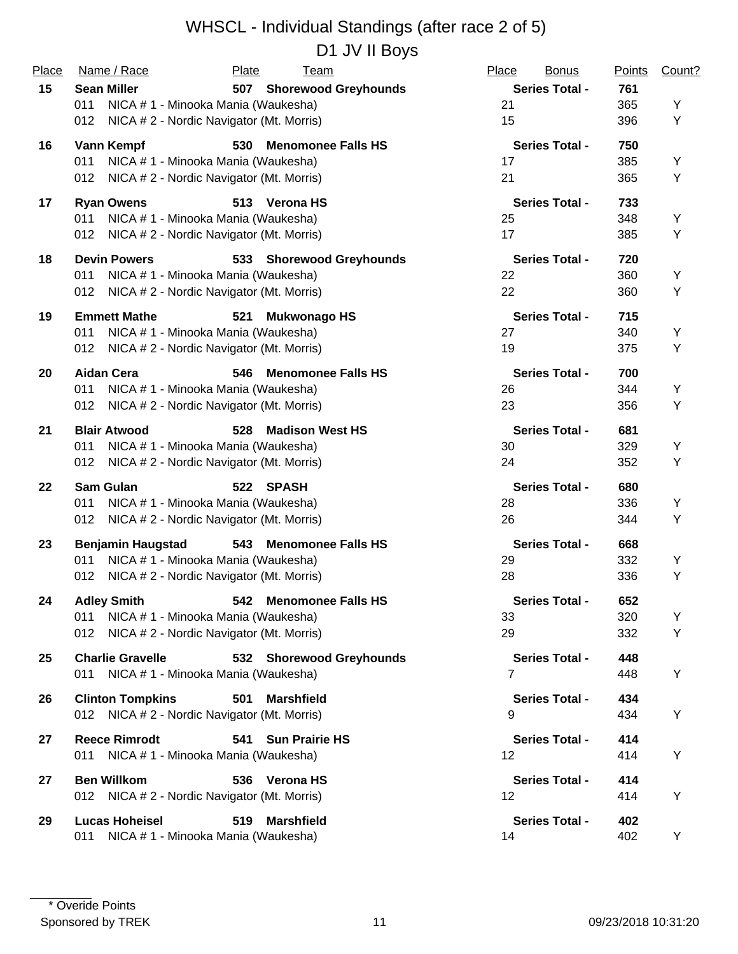| Place | Name / Race                                     | Plate<br><b>Team</b>             | Place<br><b>Bonus</b> | <b>Points</b> | Count? |
|-------|-------------------------------------------------|----------------------------------|-----------------------|---------------|--------|
| 15    | <b>Sean Miller</b>                              | 507 Shorewood Greyhounds         | <b>Series Total -</b> | 761           |        |
|       | 011<br>NICA # 1 - Minooka Mania (Waukesha)      |                                  | 21                    | 365           | Y      |
|       | NICA # 2 - Nordic Navigator (Mt. Morris)<br>012 |                                  | 15                    | 396           | Υ      |
| 16    | Vann Kempf                                      | 530<br><b>Menomonee Falls HS</b> | <b>Series Total -</b> | 750           |        |
|       | NICA # 1 - Minooka Mania (Waukesha)<br>011      |                                  | 17                    | 385           | Υ      |
|       | NICA # 2 - Nordic Navigator (Mt. Morris)<br>012 |                                  | 21                    | 365           | Υ      |
| 17    | <b>Ryan Owens</b>                               | 513 Verona HS                    | <b>Series Total -</b> | 733           |        |
|       | 011<br>NICA # 1 - Minooka Mania (Waukesha)      |                                  | 25                    | 348           | Υ      |
|       | 012 NICA # 2 - Nordic Navigator (Mt. Morris)    |                                  | 17                    | 385           | Υ      |
| 18    | <b>Devin Powers</b>                             | 533 Shorewood Greyhounds         | <b>Series Total -</b> | 720           |        |
|       | NICA # 1 - Minooka Mania (Waukesha)<br>011      |                                  | 22                    | 360           | Υ      |
|       | NICA # 2 - Nordic Navigator (Mt. Morris)<br>012 |                                  | 22                    | 360           | Υ      |
| 19    | <b>Emmett Mathe</b>                             | <b>Mukwonago HS</b><br>521       | <b>Series Total -</b> | 715           |        |
|       | NICA # 1 - Minooka Mania (Waukesha)<br>011      |                                  | 27                    | 340           | Υ      |
|       | NICA # 2 - Nordic Navigator (Mt. Morris)<br>012 |                                  | 19                    | 375           | Υ      |
| 20    | <b>Aidan Cera</b>                               | <b>Menomonee Falls HS</b><br>546 | <b>Series Total -</b> | 700           |        |
|       | NICA # 1 - Minooka Mania (Waukesha)<br>011      |                                  | 26                    | 344           | Υ      |
|       | NICA # 2 - Nordic Navigator (Mt. Morris)<br>012 |                                  | 23                    | 356           | Υ      |
| 21    | <b>Blair Atwood</b>                             | <b>Madison West HS</b><br>528    | <b>Series Total -</b> | 681           |        |
|       | NICA # 1 - Minooka Mania (Waukesha)<br>011      |                                  | 30                    | 329           | Υ      |
|       | NICA # 2 - Nordic Navigator (Mt. Morris)<br>012 |                                  | 24                    | 352           | Υ      |
| 22    | <b>Sam Gulan</b>                                | 522 SPASH                        | <b>Series Total -</b> | 680           |        |
|       | NICA # 1 - Minooka Mania (Waukesha)<br>011      |                                  | 28                    | 336           | Υ      |
|       | NICA # 2 - Nordic Navigator (Mt. Morris)<br>012 |                                  | 26                    | 344           | Υ      |
| 23    | <b>Benjamin Haugstad</b>                        | 543 Menomonee Falls HS           | <b>Series Total -</b> | 668           |        |
|       | NICA # 1 - Minooka Mania (Waukesha)<br>011      |                                  | 29                    | 332           | Υ      |
|       | NICA # 2 - Nordic Navigator (Mt. Morris)<br>012 |                                  | 28                    | 336           | Υ      |
| 24    | <b>Adley Smith</b>                              | 542 Menomonee Falls HS           | <b>Series Total -</b> | 652           |        |
|       | NICA # 1 - Minooka Mania (Waukesha)<br>011      |                                  | 33                    | 320           | Y      |
|       | NICA # 2 - Nordic Navigator (Mt. Morris)<br>012 |                                  | 29                    | 332           | Υ      |
| 25    | <b>Charlie Gravelle</b>                         | 532 Shorewood Greyhounds         | <b>Series Total -</b> | 448           |        |
|       | 011 NICA # 1 - Minooka Mania (Waukesha)         |                                  | 7                     | 448           | Υ      |
| 26    | <b>Clinton Tompkins</b>                         | <b>Marshfield</b><br>501         | <b>Series Total -</b> | 434           |        |
|       | 012 NICA # 2 - Nordic Navigator (Mt. Morris)    |                                  | 9                     | 434           | Υ      |
| 27    | <b>Reece Rimrodt</b>                            | <b>Sun Prairie HS</b><br>541     | <b>Series Total -</b> | 414           |        |
|       | NICA # 1 - Minooka Mania (Waukesha)<br>011      |                                  | 12                    | 414           | Υ      |
| 27    | <b>Ben Willkom</b>                              | 536 Verona HS                    | <b>Series Total -</b> | 414           |        |
|       | 012 NICA # 2 - Nordic Navigator (Mt. Morris)    |                                  | 12                    | 414           | Υ      |
| 29    | <b>Lucas Hoheisel</b>                           | 519<br><b>Marshfield</b>         | <b>Series Total -</b> | 402           |        |
|       | NICA # 1 - Minooka Mania (Waukesha)<br>011      |                                  | 14                    | 402           | Υ      |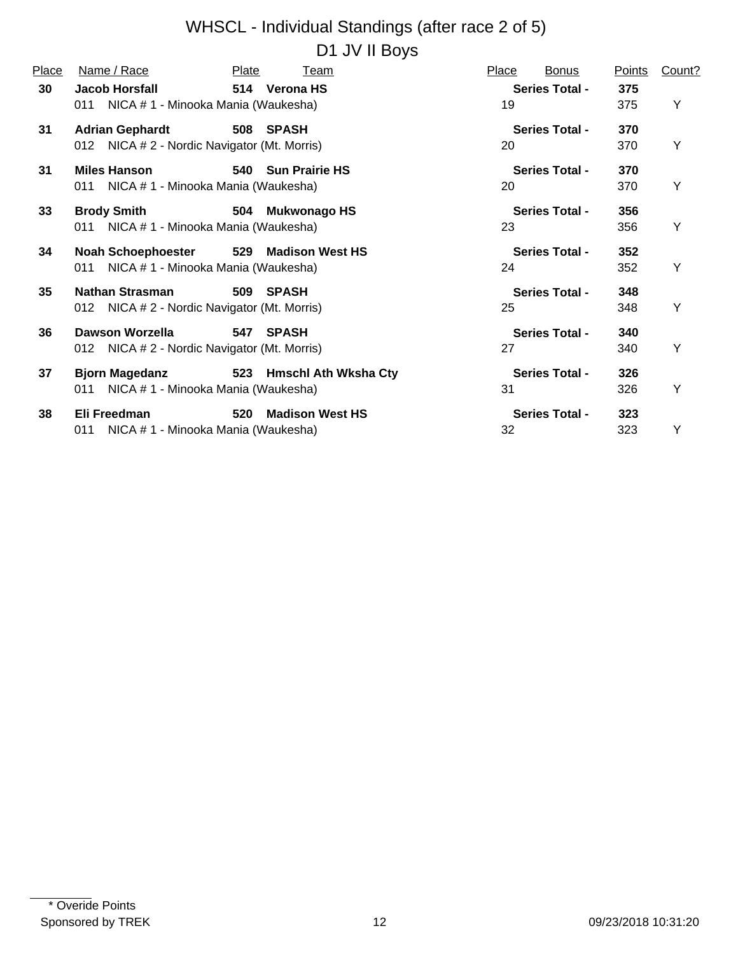#### WHSCL - Individual Standings (after race 2 of 5) D1 JV II Boys

| Place | Name / Race                                  | Plate<br>Team            | <b>Bonus</b><br>Place | Points | Count? |
|-------|----------------------------------------------|--------------------------|-----------------------|--------|--------|
| 30    | <b>Jacob Horsfall</b>                        | 514 Verona HS            | <b>Series Total -</b> | 375    |        |
|       | 011 NICA # 1 - Minooka Mania (Waukesha)      |                          | 19                    | 375    | Υ      |
| 31    | <b>Adrian Gephardt</b>                       | 508 SPASH                | <b>Series Total -</b> | 370    |        |
|       | 012 NICA # 2 - Nordic Navigator (Mt. Morris) |                          | 20                    | 370    | Y      |
| 31    | <b>Miles Hanson</b>                          | 540 Sun Prairie HS       | <b>Series Total -</b> | 370    |        |
|       | 011 NICA # 1 - Minooka Mania (Waukesha)      |                          | 20                    | 370    | Y      |
|       |                                              |                          |                       |        |        |
| 33    | <b>Brody Smith</b>                           | 504 Mukwonago HS         | <b>Series Total -</b> | 356    |        |
|       | 011 NICA # 1 - Minooka Mania (Waukesha)      |                          | 23                    | 356    | Y      |
| 34    | Noah Schoephoester                           | 529 Madison West HS      | <b>Series Total -</b> | 352    |        |
|       | 011 NICA # 1 - Minooka Mania (Waukesha)      |                          | 24                    | 352    | Y      |
| 35    | Nathan Strasman                              | 509 SPASH                | <b>Series Total -</b> | 348    |        |
|       | 012 NICA # 2 - Nordic Navigator (Mt. Morris) |                          | 25                    | 348    | Y      |
| 36    | <b>Dawson Worzella</b>                       | 547 SPASH                | <b>Series Total -</b> | 340    |        |
|       |                                              |                          | 27                    | 340    | Y      |
|       | 012 NICA # 2 - Nordic Navigator (Mt. Morris) |                          |                       |        |        |
| 37    | <b>Bjorn Magedanz</b>                        | 523 Hmschl Ath Wksha Cty | <b>Series Total -</b> | 326    |        |
|       | NICA # 1 - Minooka Mania (Waukesha)<br>011   |                          | 31                    | 326    | Υ      |
| 38    | Eli Freedman                                 | 520 Madison West HS      | <b>Series Total -</b> | 323    |        |
|       | NICA # 1 - Minooka Mania (Waukesha)<br>011   |                          | 32                    | 323    | Υ      |
|       |                                              |                          |                       |        |        |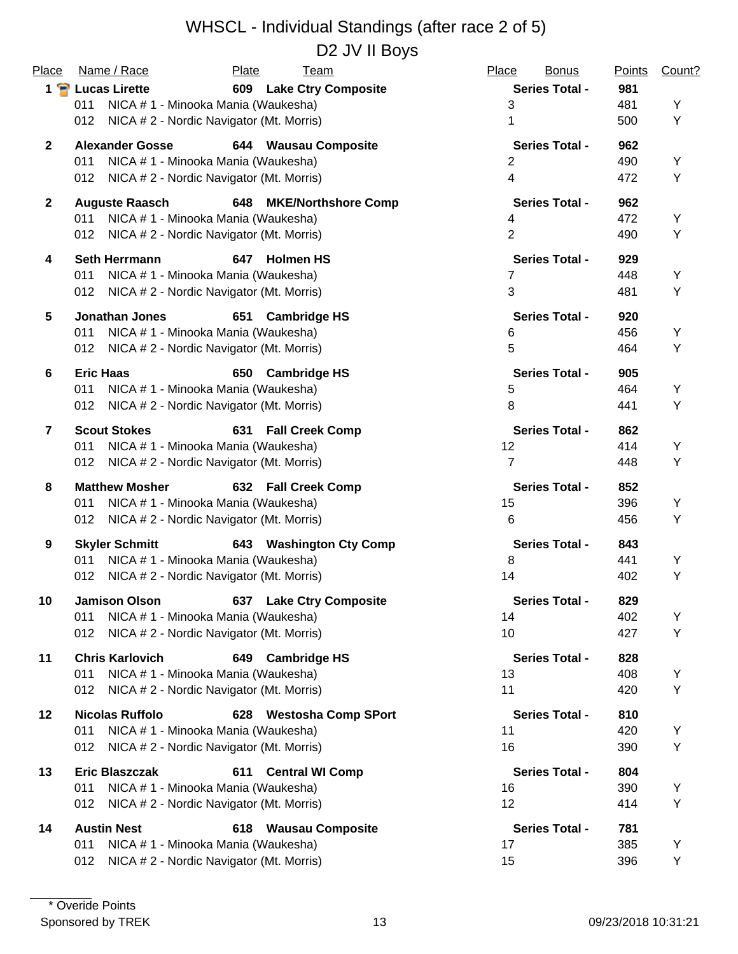| Place          | Name / Race                                     | Plate<br><b>Team</b>          | Place<br><b>Bonus</b> | <b>Points</b> | Count? |
|----------------|-------------------------------------------------|-------------------------------|-----------------------|---------------|--------|
|                | 1 P Lucas Lirette                               | 609 Lake Ctry Composite       | <b>Series Total -</b> | 981           |        |
|                | NICA # 1 - Minooka Mania (Waukesha)<br>011      |                               | 3                     | 481           | Υ      |
|                | NICA # 2 - Nordic Navigator (Mt. Morris)<br>012 |                               | 1                     | 500           | Υ      |
| $\mathbf{2}$   | <b>Alexander Gosse</b>                          | 644 Wausau Composite          | <b>Series Total -</b> | 962           |        |
|                | 011<br>NICA # 1 - Minooka Mania (Waukesha)      |                               | $\overline{2}$        | 490           | Υ      |
|                | NICA # 2 - Nordic Navigator (Mt. Morris)<br>012 |                               | $\overline{4}$        | 472           | Y      |
| $\mathbf{2}$   | <b>Auguste Raasch</b>                           | 648 MKE/Northshore Comp       | <b>Series Total -</b> | 962           |        |
|                | NICA # 1 - Minooka Mania (Waukesha)<br>011      |                               | 4                     | 472           | Y      |
|                | NICA # 2 - Nordic Navigator (Mt. Morris)<br>012 |                               | $\overline{2}$        | 490           | Υ      |
| 4              | <b>Seth Herrmann</b>                            | 647<br><b>Holmen HS</b>       | <b>Series Total -</b> | 929           |        |
|                | 011<br>NICA # 1 - Minooka Mania (Waukesha)      |                               | 7                     | 448           | Υ      |
|                | NICA # 2 - Nordic Navigator (Mt. Morris)<br>012 |                               | 3                     | 481           | Υ      |
| 5              | <b>Jonathan Jones</b>                           | 651<br><b>Cambridge HS</b>    | <b>Series Total -</b> | 920           |        |
|                | NICA # 1 - Minooka Mania (Waukesha)<br>011      |                               | 6                     | 456           | Υ      |
|                | NICA # 2 - Nordic Navigator (Mt. Morris)<br>012 |                               | 5                     | 464           | Υ      |
| 6              | <b>Eric Haas</b>                                | 650 Cambridge HS              | <b>Series Total -</b> | 905           |        |
|                | NICA # 1 - Minooka Mania (Waukesha)<br>011      |                               | 5                     | 464           | Y      |
|                | NICA # 2 - Nordic Navigator (Mt. Morris)<br>012 |                               | 8                     | 441           | Υ      |
| $\overline{7}$ | <b>Scout Stokes</b>                             | 631 Fall Creek Comp           | <b>Series Total -</b> | 862           |        |
|                | NICA # 1 - Minooka Mania (Waukesha)<br>011      |                               | 12                    | 414           | Υ      |
|                | NICA # 2 - Nordic Navigator (Mt. Morris)<br>012 |                               | $\overline{7}$        | 448           | Υ      |
| 8              | <b>Matthew Mosher</b>                           | 632 Fall Creek Comp           | <b>Series Total -</b> | 852           |        |
|                | NICA # 1 - Minooka Mania (Waukesha)<br>011      |                               | 15                    | 396           | Υ      |
|                | NICA # 2 - Nordic Navigator (Mt. Morris)<br>012 |                               | 6                     | 456           | Υ      |
| 9              | <b>Skyler Schmitt</b>                           | 643 Washington Cty Comp       | <b>Series Total -</b> | 843           |        |
|                | NICA # 1 - Minooka Mania (Waukesha)<br>011      |                               | 8                     | 441           | Υ      |
|                | 012 NICA # 2 - Nordic Navigator (Mt. Morris)    |                               | 14                    | 402           | Υ      |
| 10             | Jamison Olson                                   | 637 Lake Ctry Composite       | <b>Series Total -</b> | 829           |        |
|                | NICA # 1 - Minooka Mania (Waukesha)<br>011      |                               | 14                    | 402           | Υ      |
|                | NICA # 2 - Nordic Navigator (Mt. Morris)<br>012 |                               | 10                    | 427           | Y      |
| 11             | <b>Chris Karlovich</b>                          | 649 Cambridge HS              | <b>Series Total -</b> | 828           |        |
|                | NICA # 1 - Minooka Mania (Waukesha)<br>011      |                               | 13                    | 408           | Y      |
|                | NICA # 2 - Nordic Navigator (Mt. Morris)<br>012 |                               | 11                    | 420           | Υ      |
| $12 \,$        | <b>Nicolas Ruffolo</b>                          | 628 Westosha Comp SPort       | <b>Series Total -</b> | 810           |        |
|                | 011<br>NICA # 1 - Minooka Mania (Waukesha)      |                               | 11                    | 420           | Y      |
|                | NICA # 2 - Nordic Navigator (Mt. Morris)<br>012 |                               | 16                    | 390           | Υ      |
| 13             | <b>Eric Blaszczak</b>                           | <b>Central WI Comp</b><br>611 | <b>Series Total -</b> | 804           |        |
|                | 011<br>NICA # 1 - Minooka Mania (Waukesha)      |                               | 16                    | 390           | Y      |
|                | NICA # 2 - Nordic Navigator (Mt. Morris)<br>012 |                               | 12                    | 414           | Υ      |
| 14             | <b>Austin Nest</b>                              | 618 Wausau Composite          | <b>Series Total -</b> | 781           |        |
|                | 011<br>NICA # 1 - Minooka Mania (Waukesha)      |                               | 17                    | 385           | Y      |
|                | NICA # 2 - Nordic Navigator (Mt. Morris)<br>012 |                               | 15                    | 396           | Υ      |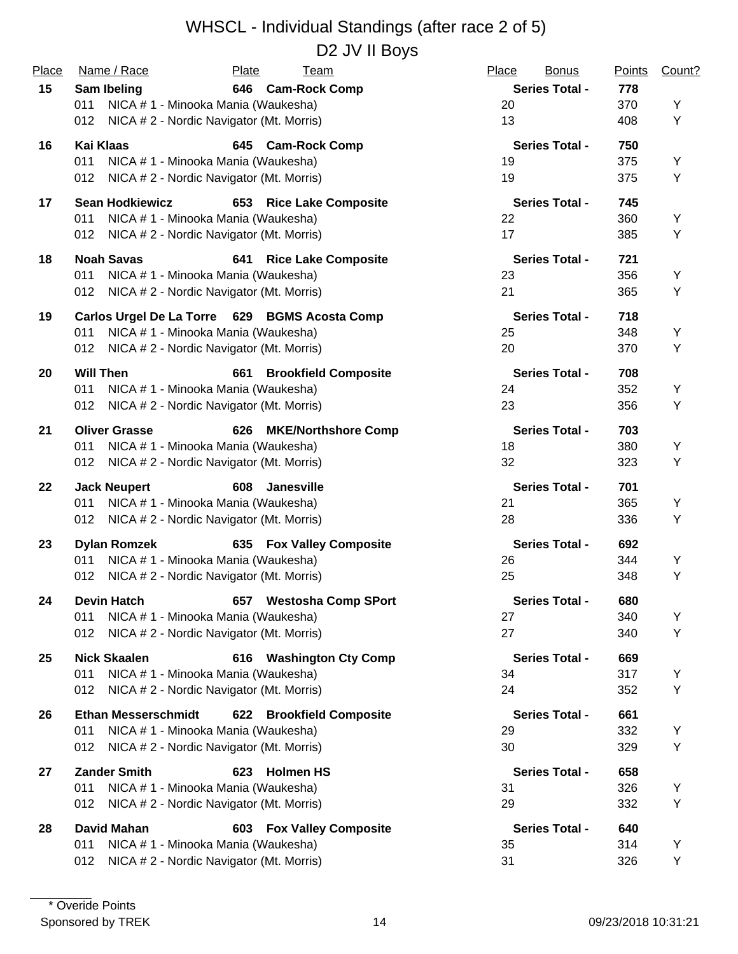| Place | Name / Race                                     | <b>Plate</b> | <u>Team</u>                 | Place | <b>Bonus</b>          | <b>Points</b> | Count? |
|-------|-------------------------------------------------|--------------|-----------------------------|-------|-----------------------|---------------|--------|
| 15    | Sam Ibeling                                     | 646          | <b>Cam-Rock Comp</b>        |       | <b>Series Total -</b> | 778           |        |
|       | 011<br>NICA # 1 - Minooka Mania (Waukesha)      |              |                             | 20    |                       | 370           | Υ      |
|       | NICA # 2 - Nordic Navigator (Mt. Morris)<br>012 |              |                             | 13    |                       | 408           | Υ      |
| 16    | <b>Kai Klaas</b>                                |              | 645 Cam-Rock Comp           |       | <b>Series Total -</b> | 750           |        |
|       | NICA # 1 - Minooka Mania (Waukesha)<br>011      |              |                             | 19    |                       | 375           | Υ      |
|       | NICA # 2 - Nordic Navigator (Mt. Morris)<br>012 |              |                             | 19    |                       | 375           | Υ      |
| 17    | <b>Sean Hodkiewicz</b>                          |              | 653 Rice Lake Composite     |       | <b>Series Total -</b> | 745           |        |
|       | NICA # 1 - Minooka Mania (Waukesha)<br>011      |              |                             | 22    |                       | 360           | Y      |
|       | 012 NICA # 2 - Nordic Navigator (Mt. Morris)    |              |                             | 17    |                       | 385           | Υ      |
| 18    | <b>Noah Savas</b>                               | 641          | <b>Rice Lake Composite</b>  |       | <b>Series Total -</b> | 721           |        |
|       | NICA # 1 - Minooka Mania (Waukesha)<br>011      |              |                             | 23    |                       | 356           | Υ      |
|       | 012<br>NICA # 2 - Nordic Navigator (Mt. Morris) |              |                             | 21    |                       | 365           | Υ      |
| 19    | Carlos Urgel De La Torre 629 BGMS Acosta Comp   |              |                             |       | <b>Series Total -</b> | 718           |        |
|       | NICA # 1 - Minooka Mania (Waukesha)<br>011      |              |                             | 25    |                       | 348           | Υ      |
|       | 012<br>NICA # 2 - Nordic Navigator (Mt. Morris) |              |                             | 20    |                       | 370           | Υ      |
| 20    | <b>Will Then</b>                                | 661          | <b>Brookfield Composite</b> |       | <b>Series Total -</b> | 708           |        |
|       | NICA # 1 - Minooka Mania (Waukesha)<br>011      |              |                             | 24    |                       | 352           | Υ      |
|       | 012<br>NICA # 2 - Nordic Navigator (Mt. Morris) |              |                             | 23    |                       | 356           | Υ      |
| 21    | <b>Oliver Grasse</b>                            | 626          | <b>MKE/Northshore Comp</b>  |       | <b>Series Total -</b> | 703           |        |
|       | NICA # 1 - Minooka Mania (Waukesha)<br>011      |              |                             | 18    |                       | 380           | Y      |
|       | 012 NICA # 2 - Nordic Navigator (Mt. Morris)    |              |                             | 32    |                       | 323           | Υ      |
| 22    | <b>Jack Neupert</b>                             | 608          | <b>Janesville</b>           |       | <b>Series Total -</b> | 701           |        |
|       | NICA # 1 - Minooka Mania (Waukesha)<br>011      |              |                             | 21    |                       | 365           | Y      |
|       | NICA # 2 - Nordic Navigator (Mt. Morris)<br>012 |              |                             | 28    |                       | 336           | Υ      |
| 23    | <b>Dylan Romzek</b>                             |              | 635 Fox Valley Composite    |       | <b>Series Total -</b> | 692           |        |
|       | NICA # 1 - Minooka Mania (Waukesha)<br>011      |              |                             | 26    |                       | 344           | Y      |
|       | NICA # 2 - Nordic Navigator (Mt. Morris)<br>012 |              |                             | 25    |                       | 348           | Υ      |
| 24    | <b>Devin Hatch</b>                              | 657          | <b>Westosha Comp SPort</b>  |       | <b>Series Total -</b> | 680           |        |
|       | NICA # 1 - Minooka Mania (Waukesha)<br>011      |              |                             | 27    |                       | 340           | Υ      |
|       | 012<br>NICA #2 - Nordic Navigator (Mt. Morris)  |              |                             | 27    |                       | 340           | Y      |
| 25    | <b>Nick Skaalen</b>                             |              | 616 Washington Cty Comp     |       | <b>Series Total -</b> | 669           |        |
|       | NICA # 1 - Minooka Mania (Waukesha)<br>011      |              |                             | 34    |                       | 317           | Υ      |
|       | NICA # 2 - Nordic Navigator (Mt. Morris)<br>012 |              |                             | 24    |                       | 352           | Υ      |
| 26    | <b>Ethan Messerschmidt</b>                      |              | 622 Brookfield Composite    |       | <b>Series Total -</b> | 661           |        |
|       | 011<br>NICA # 1 - Minooka Mania (Waukesha)      |              |                             | 29    |                       | 332           | Υ      |
|       | NICA # 2 - Nordic Navigator (Mt. Morris)<br>012 |              |                             | 30    |                       | 329           | Υ      |
| 27    | <b>Zander Smith</b>                             | 623          | <b>Holmen HS</b>            |       | <b>Series Total -</b> | 658           |        |
|       | NICA #1 - Minooka Mania (Waukesha)<br>011       |              |                             | 31    |                       | 326           | Υ      |
|       | 012<br>NICA # 2 - Nordic Navigator (Mt. Morris) |              |                             | 29    |                       | 332           | Υ      |
| 28    | <b>David Mahan</b>                              |              | 603 Fox Valley Composite    |       | <b>Series Total -</b> | 640           |        |
|       | NICA # 1 - Minooka Mania (Waukesha)<br>011      |              |                             | 35    |                       | 314           | Υ      |
|       | NICA #2 - Nordic Navigator (Mt. Morris)<br>012  |              |                             | 31    |                       | 326           | Y      |
|       |                                                 |              |                             |       |                       |               |        |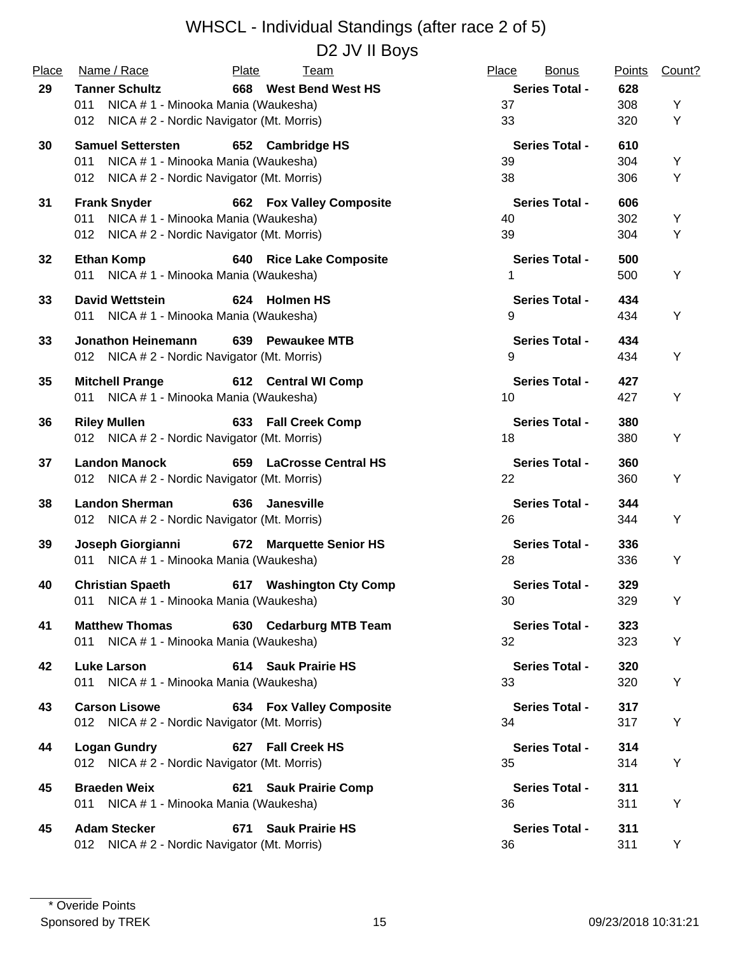| Place | Name / Race                                                        | Plate<br><u>Team</u>            | Place<br><b>Bonus</b> | <b>Points</b> | Count? |
|-------|--------------------------------------------------------------------|---------------------------------|-----------------------|---------------|--------|
| 29    | <b>Tanner Schultz</b>                                              | 668 West Bend West HS           | <b>Series Total -</b> | 628           |        |
|       | NICA # 1 - Minooka Mania (Waukesha)<br>011                         |                                 | 37                    | 308           | Υ      |
|       | NICA # 2 - Nordic Navigator (Mt. Morris)<br>012                    |                                 | 33                    | 320           | Y      |
| 30    | <b>Samuel Settersten</b>                                           | 652 Cambridge HS                | <b>Series Total -</b> | 610           |        |
|       | NICA # 1 - Minooka Mania (Waukesha)<br>011                         |                                 | 39                    | 304           | Y      |
|       | 012 NICA # 2 - Nordic Navigator (Mt. Morris)                       |                                 | 38                    | 306           | Υ      |
| 31    | <b>Frank Snyder</b>                                                | <b>662 Fox Valley Composite</b> | <b>Series Total -</b> | 606           |        |
|       | NICA # 1 - Minooka Mania (Waukesha)<br>011                         |                                 | 40                    | 302           | Y      |
|       | 012 NICA # 2 - Nordic Navigator (Mt. Morris)                       |                                 | 39                    | 304           | Υ      |
| 32    | <b>Ethan Komp</b>                                                  | 640 Rice Lake Composite         | <b>Series Total -</b> | 500           |        |
|       | 011 NICA # 1 - Minooka Mania (Waukesha)                            |                                 | 1                     | 500           | Υ      |
| 33    | <b>David Wettstein</b>                                             | 624 Holmen HS                   | <b>Series Total -</b> | 434           |        |
|       | 011 NICA # 1 - Minooka Mania (Waukesha)                            |                                 | 9                     | 434           | Y      |
|       |                                                                    | 639 Pewaukee MTB                | <b>Series Total -</b> |               |        |
| 33    | Jonathon Heinemann<br>012 NICA # 2 - Nordic Navigator (Mt. Morris) |                                 | 9                     | 434<br>434    | Y      |
|       |                                                                    |                                 |                       |               |        |
| 35    | <b>Mitchell Prange</b>                                             | 612 Central WI Comp             | <b>Series Total -</b> | 427           |        |
|       | 011 NICA # 1 - Minooka Mania (Waukesha)                            |                                 | 10                    | 427           | Y      |
| 36    | <b>Riley Mullen</b>                                                | 633 Fall Creek Comp             | <b>Series Total -</b> | 380           |        |
|       | 012 NICA # 2 - Nordic Navigator (Mt. Morris)                       |                                 | 18                    | 380           | Υ      |
| 37    | <b>Landon Manock</b>                                               | 659 LaCrosse Central HS         | <b>Series Total -</b> | 360           |        |
|       | 012 NICA # 2 - Nordic Navigator (Mt. Morris)                       |                                 | 22                    | 360           | Υ      |
| 38    | <b>Landon Sherman</b>                                              | 636 Janesville                  | <b>Series Total -</b> | 344           |        |
|       | 012 NICA # 2 - Nordic Navigator (Mt. Morris)                       |                                 | 26                    | 344           | Y      |
| 39    | Joseph Giorgianni                                                  | 672 Marquette Senior HS         | <b>Series Total -</b> | 336           |        |
|       | 011 NICA # 1 - Minooka Mania (Waukesha)                            |                                 | 28                    | 336           | Υ      |
| 40    | <b>Christian Spaeth</b>                                            |                                 | <b>Series Total -</b> | 329           |        |
|       | 011 NICA # 1 - Minooka Mania (Waukesha)                            | 617 Washington Cty Comp         | 30                    | 329           | Y      |
|       |                                                                    |                                 |                       |               |        |
| 41    | <b>Matthew Thomas</b>                                              | 630 Cedarburg MTB Team          | <b>Series Total -</b> | 323           |        |
|       | 011 NICA # 1 - Minooka Mania (Waukesha)                            |                                 | 32                    | 323           | Υ      |
| 42    | <b>Luke Larson</b>                                                 | 614 Sauk Prairie HS             | <b>Series Total -</b> | 320           |        |
|       | 011 NICA # 1 - Minooka Mania (Waukesha)                            |                                 | 33                    | 320           | Υ      |
| 43    | <b>Carson Lisowe</b>                                               | <b>634 Fox Valley Composite</b> | <b>Series Total -</b> | 317           |        |
|       | 012 NICA # 2 - Nordic Navigator (Mt. Morris)                       |                                 | 34                    | 317           | Y      |
| 44    | <b>Logan Gundry</b>                                                | 627 Fall Creek HS               | <b>Series Total -</b> | 314           |        |
|       | 012 NICA # 2 - Nordic Navigator (Mt. Morris)                       |                                 | 35                    | 314           | Υ      |
|       |                                                                    |                                 |                       |               |        |
| 45    | <b>Braeden Weix</b>                                                | 621 Sauk Prairie Comp           | <b>Series Total -</b> | 311           |        |
|       | 011 NICA #1 - Minooka Mania (Waukesha)                             |                                 | 36                    | 311           | Υ      |
| 45    | <b>Adam Stecker</b>                                                | 671 Sauk Prairie HS             | <b>Series Total -</b> | 311           |        |
|       | 012 NICA # 2 - Nordic Navigator (Mt. Morris)                       |                                 | 36                    | 311           | Y      |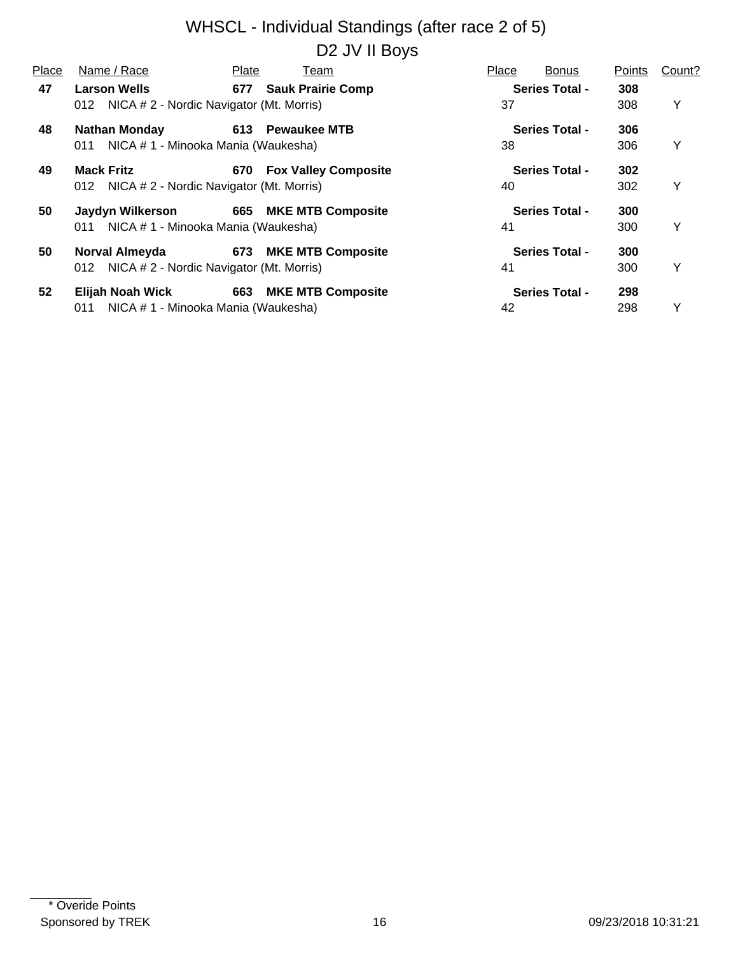| Place | Name / Race                                                            | Plate | Team                     | Place | <b>Bonus</b>          | Points     | Count? |
|-------|------------------------------------------------------------------------|-------|--------------------------|-------|-----------------------|------------|--------|
| 47    | <b>Larson Wells</b><br>NICA # 2 - Nordic Navigator (Mt. Morris)<br>012 |       | 677 Sauk Prairie Comp    | 37    | <b>Series Total -</b> | 308<br>308 | Y      |
| 48    | <b>Nathan Monday</b>                                                   |       | 613 Pewaukee MTB         |       | <b>Series Total -</b> | 306        |        |
| 49    | NICA # 1 - Minooka Mania (Waukesha)<br>011<br><b>Mack Fritz</b>        |       | 670 Fox Valley Composite | 38    | <b>Series Total -</b> | 306<br>302 | Y      |
|       | 012 NICA # 2 - Nordic Navigator (Mt. Morris)                           |       |                          | 40    |                       | 302        | Y      |
| 50    | Jaydyn Wilkerson                                                       |       | 665 MKE MTB Composite    |       | <b>Series Total -</b> | 300        |        |
|       | NICA # 1 - Minooka Mania (Waukesha)<br>011                             |       |                          | 41    |                       | 300        | Y      |
| 50    | Norval Almeyda                                                         |       | 673 MKE MTB Composite    |       | <b>Series Total -</b> | 300        |        |
|       | 012 NICA # 2 - Nordic Navigator (Mt. Morris)                           |       |                          | 41    |                       | 300        | Y      |
| 52    | Elijah Noah Wick                                                       |       | 663 MKE MTB Composite    |       | <b>Series Total -</b> | 298        |        |
|       | NICA # 1 - Minooka Mania (Waukesha)<br>011                             |       |                          | 42    |                       | 298        | Y      |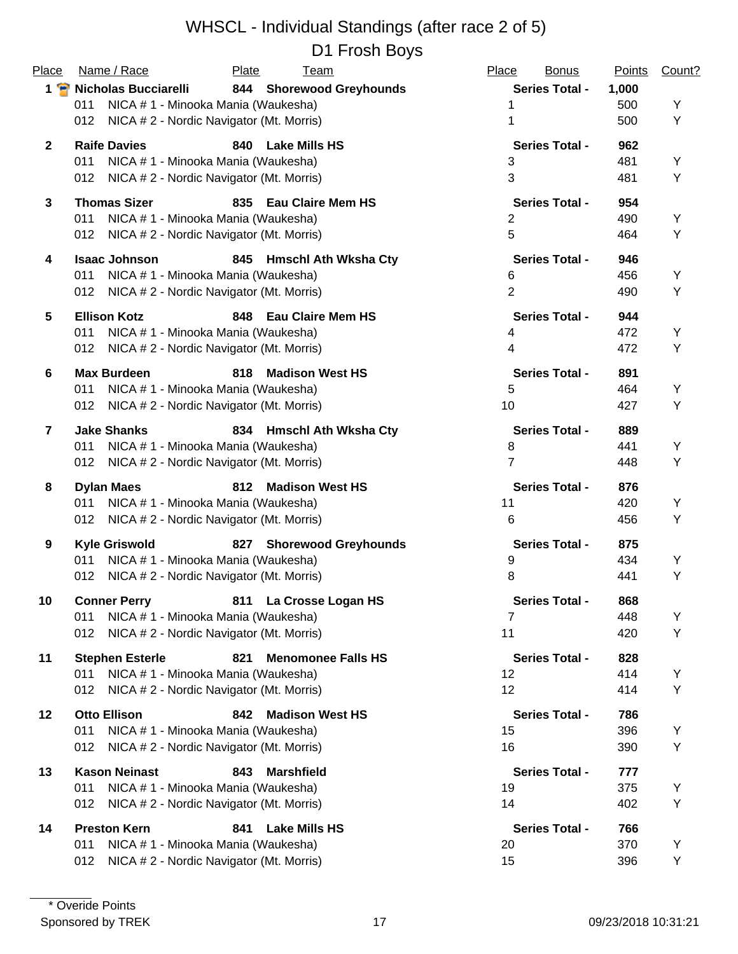| Place           | Name / Race                                     | Plate | <b>Team</b>                 | Place                 | <b>Bonus</b><br><b>Points</b> | Count? |
|-----------------|-------------------------------------------------|-------|-----------------------------|-----------------------|-------------------------------|--------|
|                 | 1 <sup>2</sup> Nicholas Bucciarelli             |       | 844 Shorewood Greyhounds    | <b>Series Total -</b> | 1,000                         |        |
|                 | NICA # 1 - Minooka Mania (Waukesha)<br>011      |       |                             | 1                     | 500                           | Υ      |
|                 | NICA # 2 - Nordic Navigator (Mt. Morris)<br>012 |       |                             | 1                     | 500                           | Υ      |
| $\mathbf{2}$    | <b>Raife Davies</b>                             | 840   | <b>Lake Mills HS</b>        | <b>Series Total -</b> | 962                           |        |
|                 | NICA # 1 - Minooka Mania (Waukesha)<br>011      |       |                             | 3                     | 481                           | Υ      |
|                 | NICA # 2 - Nordic Navigator (Mt. Morris)<br>012 |       |                             | 3                     | 481                           | Υ      |
| $\mathbf{3}$    | <b>Thomas Sizer</b>                             | 835   | <b>Eau Claire Mem HS</b>    | <b>Series Total -</b> | 954                           |        |
|                 | NICA # 1 - Minooka Mania (Waukesha)<br>011      |       |                             | 2                     | 490                           | Y      |
|                 | NICA # 2 - Nordic Navigator (Mt. Morris)<br>012 |       |                             | 5                     | 464                           | Υ      |
| 4               | <b>Isaac Johnson</b>                            | 845   | <b>Hmschl Ath Wksha Cty</b> | <b>Series Total -</b> | 946                           |        |
|                 | NICA # 1 - Minooka Mania (Waukesha)<br>011      |       |                             | 6                     | 456                           | Υ      |
|                 | NICA # 2 - Nordic Navigator (Mt. Morris)<br>012 |       |                             | $\overline{2}$        | 490                           | Υ      |
| $5\phantom{.0}$ | <b>Ellison Kotz</b>                             | 848   | <b>Eau Claire Mem HS</b>    | <b>Series Total -</b> | 944                           |        |
|                 | NICA # 1 - Minooka Mania (Waukesha)<br>011      |       |                             | 4                     | 472                           | Υ      |
|                 | NICA # 2 - Nordic Navigator (Mt. Morris)<br>012 |       |                             | 4                     | 472                           | Υ      |
| 6               | <b>Max Burdeen</b>                              | 818   | <b>Madison West HS</b>      | <b>Series Total -</b> | 891                           |        |
|                 | NICA # 1 - Minooka Mania (Waukesha)<br>011      |       |                             | 5                     | 464                           | Υ      |
|                 | NICA # 2 - Nordic Navigator (Mt. Morris)<br>012 |       |                             | 10                    | 427                           | Υ      |
| $\overline{7}$  | <b>Jake Shanks</b>                              |       | 834 Hmschl Ath Wksha Cty    | <b>Series Total -</b> | 889                           |        |
|                 | NICA # 1 - Minooka Mania (Waukesha)<br>011      |       |                             | 8                     | 441                           | Υ      |
|                 | NICA # 2 - Nordic Navigator (Mt. Morris)<br>012 |       |                             | $\overline{7}$        | 448                           | Υ      |
| 8               | <b>Dylan Maes</b>                               | 812   | <b>Madison West HS</b>      | <b>Series Total -</b> | 876                           |        |
|                 | NICA # 1 - Minooka Mania (Waukesha)<br>011      |       |                             | 11                    | 420                           | Υ      |
|                 | NICA # 2 - Nordic Navigator (Mt. Morris)<br>012 |       |                             | 6                     | 456                           | Υ      |
| 9               | <b>Kyle Griswold</b>                            | 827   | <b>Shorewood Greyhounds</b> | <b>Series Total -</b> | 875                           |        |
|                 | NICA # 1 - Minooka Mania (Waukesha)<br>011      |       |                             | 9                     | 434                           | Υ      |
|                 | NICA # 2 - Nordic Navigator (Mt. Morris)<br>012 |       |                             | 8                     | 441                           | Υ      |
| 10              | <b>Conner Perry</b>                             |       | 811 La Crosse Logan HS      | <b>Series Total -</b> | 868                           |        |
|                 | NICA # 1 - Minooka Mania (Waukesha)<br>011      |       |                             | $\overline{7}$        | 448                           | Υ      |
|                 | NICA # 2 - Nordic Navigator (Mt. Morris)<br>012 |       |                             | 11                    | 420                           | Υ      |
| 11              | <b>Stephen Esterle</b>                          | 821   | <b>Menomonee Falls HS</b>   | <b>Series Total -</b> | 828                           |        |
|                 | NICA # 1 - Minooka Mania (Waukesha)<br>011      |       |                             | 12                    | 414                           | Y      |
|                 | NICA # 2 - Nordic Navigator (Mt. Morris)<br>012 |       |                             | 12                    | 414                           | Y      |
| 12              | <b>Otto Ellison</b>                             | 842   | <b>Madison West HS</b>      | <b>Series Total -</b> | 786                           |        |
|                 | NICA # 1 - Minooka Mania (Waukesha)<br>011      |       |                             | 15                    | 396                           | Y      |
|                 | NICA # 2 - Nordic Navigator (Mt. Morris)<br>012 |       |                             | 16                    | 390                           | Υ      |
| 13              | <b>Kason Neinast</b>                            | 843   | <b>Marshfield</b>           | <b>Series Total -</b> | 777                           |        |
|                 | NICA # 1 - Minooka Mania (Waukesha)<br>011      |       |                             | 19                    | 375                           | Y      |
|                 | NICA # 2 - Nordic Navigator (Mt. Morris)<br>012 |       |                             | 14                    | 402                           | Υ      |
| 14              | <b>Preston Kern</b>                             | 841   | <b>Lake Mills HS</b>        | <b>Series Total -</b> | 766                           |        |
|                 | NICA # 1 - Minooka Mania (Waukesha)<br>011      |       |                             | 20                    | 370                           | Y      |
|                 | NICA # 2 - Nordic Navigator (Mt. Morris)<br>012 |       |                             | 15                    | 396                           | Υ      |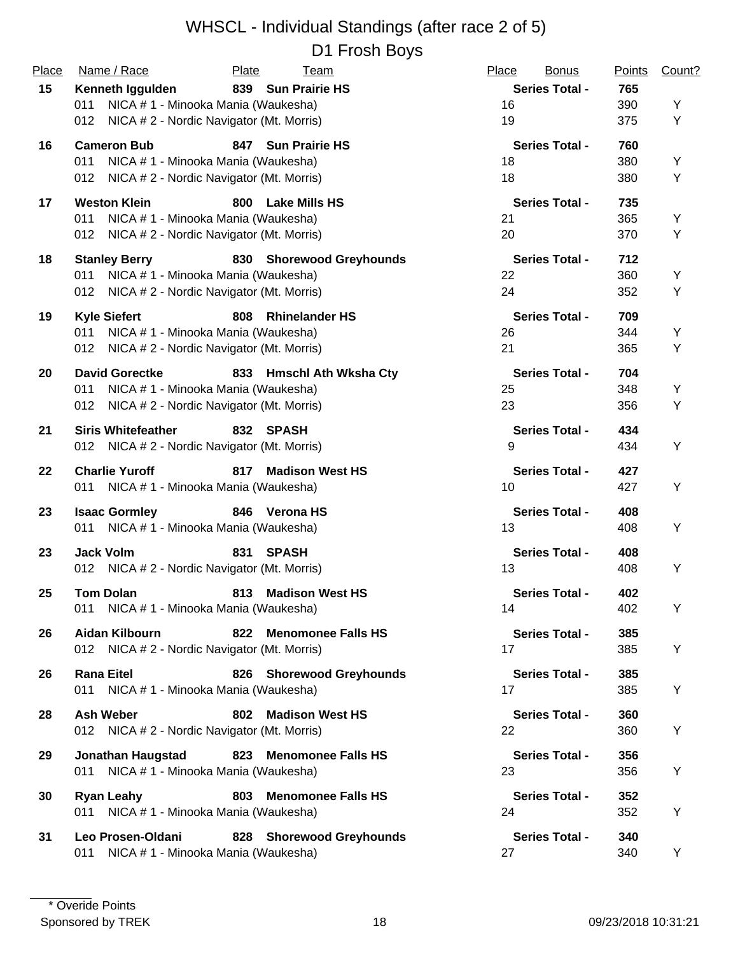| Place | Name / Race                                     | Plate<br><u>Team</u>             | Place<br><b>Bonus</b> | Points | Count? |
|-------|-------------------------------------------------|----------------------------------|-----------------------|--------|--------|
| 15    | Kenneth Iggulden                                | 839 Sun Prairie HS               | <b>Series Total -</b> | 765    |        |
|       | NICA # 1 - Minooka Mania (Waukesha)<br>011      |                                  | 16                    | 390    | Υ      |
|       | NICA # 2 - Nordic Navigator (Mt. Morris)<br>012 |                                  | 19                    | 375    | Υ      |
| 16    | <b>Cameron Bub</b>                              | 847 Sun Prairie HS               | <b>Series Total -</b> | 760    |        |
|       | NICA # 1 - Minooka Mania (Waukesha)<br>011      |                                  | 18                    | 380    | Υ      |
|       | 012 NICA # 2 - Nordic Navigator (Mt. Morris)    |                                  | 18                    | 380    | Υ      |
| 17    | <b>Weston Klein</b>                             | 800<br><b>Lake Mills HS</b>      | <b>Series Total -</b> | 735    |        |
|       | NICA # 1 - Minooka Mania (Waukesha)<br>011      |                                  | 21                    | 365    | Υ      |
|       | 012 NICA # 2 - Nordic Navigator (Mt. Morris)    |                                  | 20                    | 370    | Υ      |
| 18    | <b>Stanley Berry</b>                            | 830 Shorewood Greyhounds         | <b>Series Total -</b> | 712    |        |
|       | NICA # 1 - Minooka Mania (Waukesha)<br>011      |                                  | 22                    | 360    | Υ      |
|       | 012 NICA # 2 - Nordic Navigator (Mt. Morris)    |                                  | 24                    | 352    | Υ      |
| 19    | <b>Kyle Siefert</b>                             | 808<br><b>Rhinelander HS</b>     | <b>Series Total -</b> | 709    |        |
|       | NICA # 1 - Minooka Mania (Waukesha)<br>011      |                                  | 26                    | 344    | Υ      |
|       | 012 NICA # 2 - Nordic Navigator (Mt. Morris)    |                                  | 21                    | 365    | Υ      |
| 20    | <b>David Gorectke</b>                           | 833 Hmschl Ath Wksha Cty         | <b>Series Total -</b> | 704    |        |
|       | NICA # 1 - Minooka Mania (Waukesha)<br>011      |                                  | 25                    | 348    | Υ      |
|       | NICA # 2 - Nordic Navigator (Mt. Morris)<br>012 |                                  | 23                    | 356    | Υ      |
| 21    | <b>Siris Whitefeather</b>                       | 832 SPASH                        | <b>Series Total -</b> | 434    |        |
|       | 012 NICA # 2 - Nordic Navigator (Mt. Morris)    |                                  | 9                     | 434    | Υ      |
| 22    | <b>Charlie Yuroff</b>                           | <b>Madison West HS</b><br>817    | <b>Series Total -</b> | 427    |        |
|       | 011 NICA # 1 - Minooka Mania (Waukesha)         |                                  | 10                    | 427    | Υ      |
| 23    | <b>Isaac Gormley</b>                            | 846 Verona HS                    | <b>Series Total -</b> | 408    |        |
|       | 011 NICA # 1 - Minooka Mania (Waukesha)         |                                  | 13                    | 408    | Υ      |
| 23    | <b>Jack Volm</b>                                | 831<br><b>SPASH</b>              | <b>Series Total -</b> | 408    |        |
|       | 012 NICA # 2 - Nordic Navigator (Mt. Morris)    |                                  | 13                    | 408    | Υ      |
| 25    | <b>Tom Dolan</b>                                | 813<br><b>Madison West HS</b>    | <b>Series Total -</b> | 402    |        |
|       | 011 NICA # 1 - Minooka Mania (Waukesha)         |                                  | 14                    | 402    | Υ      |
| 26    | <b>Aidan Kilbourn</b>                           | 822 Menomonee Falls HS           | <b>Series Total -</b> | 385    |        |
|       | 012 NICA # 2 - Nordic Navigator (Mt. Morris)    |                                  | 17                    | 385    | Y      |
| 26    | <b>Rana Eitel</b>                               | 826 Shorewood Greyhounds         | <b>Series Total -</b> | 385    |        |
|       | 011 NICA # 1 - Minooka Mania (Waukesha)         |                                  | 17                    | 385    | Υ      |
| 28    | <b>Ash Weber</b>                                | <b>Madison West HS</b><br>802    | <b>Series Total -</b> | 360    |        |
|       | 012 NICA # 2 - Nordic Navigator (Mt. Morris)    |                                  | 22                    | 360    | Υ      |
| 29    | <b>Jonathan Haugstad</b>                        | 823 Menomonee Falls HS           | <b>Series Total -</b> | 356    |        |
|       | 011 NICA # 1 - Minooka Mania (Waukesha)         |                                  | 23                    | 356    | Y      |
| 30    | <b>Ryan Leahy</b>                               | 803<br><b>Menomonee Falls HS</b> | <b>Series Total -</b> | 352    |        |
|       | 011 NICA # 1 - Minooka Mania (Waukesha)         |                                  | 24                    | 352    | Υ      |
| 31    | Leo Prosen-Oldani                               | 828 Shorewood Greyhounds         | <b>Series Total -</b> | 340    |        |
|       | NICA # 1 - Minooka Mania (Waukesha)<br>011      |                                  | 27                    | 340    | Y      |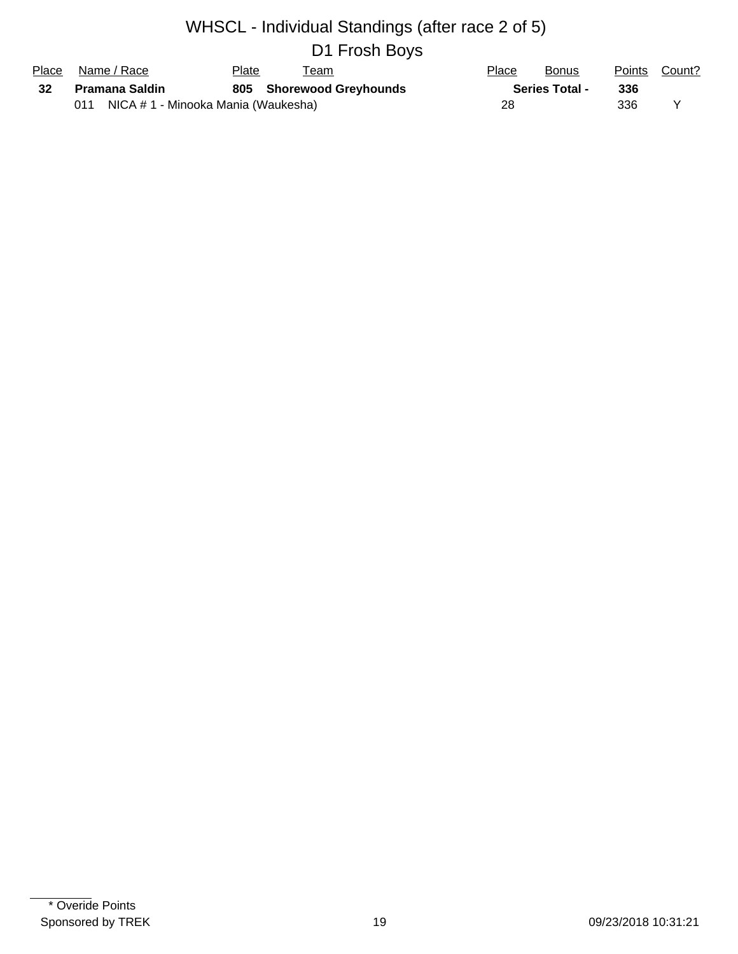| Place | Name / Race                             | Plate | Team                     | Place | <b>Bonus</b>          | Points | Count? |
|-------|-----------------------------------------|-------|--------------------------|-------|-----------------------|--------|--------|
| - 32  | Pramana Saldin                          |       | 805 Shorewood Greyhounds |       | <b>Series Total -</b> | 336    |        |
|       | 011 NICA # 1 - Minooka Mania (Waukesha) |       |                          | 28    |                       | 336    |        |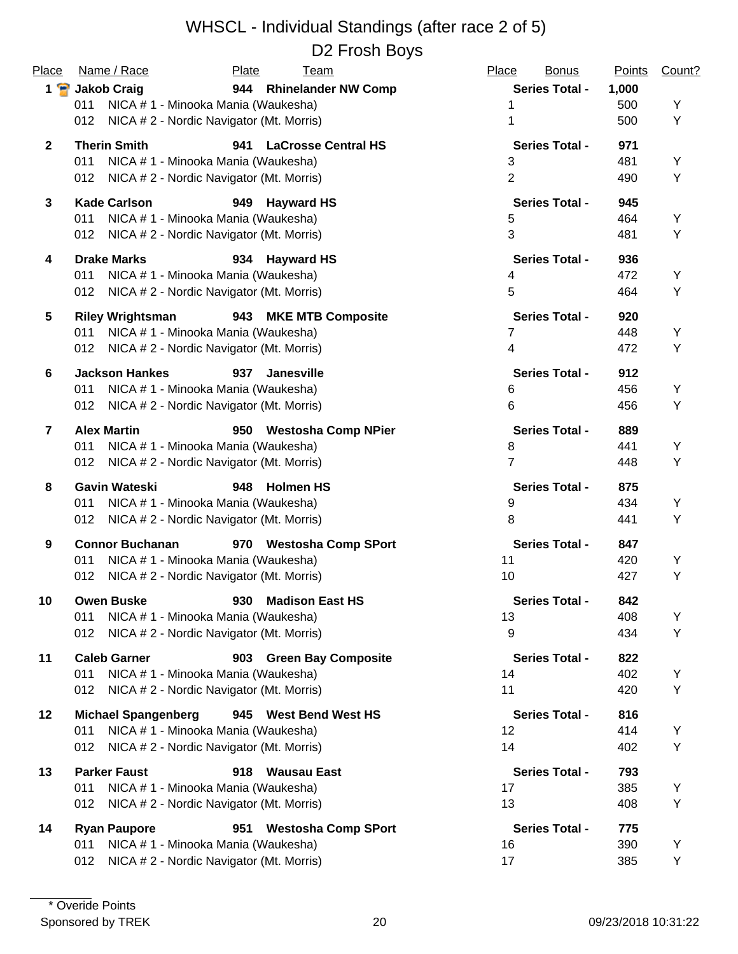| Place          | Name / Race                | Plate<br><b>Team</b>                     | Place<br><b>Bonus</b> | <b>Points</b> | Count? |
|----------------|----------------------------|------------------------------------------|-----------------------|---------------|--------|
| $1$ $\bullet$  | <b>Jakob Craig</b>         | 944 Rhinelander NW Comp                  | <b>Series Total -</b> | 1,000         |        |
|                | 011                        | NICA # 1 - Minooka Mania (Waukesha)      |                       | 500           | Υ      |
|                | 012                        | NICA # 2 - Nordic Navigator (Mt. Morris) |                       | 500           | Υ      |
| $\mathbf{2}$   | <b>Therin Smith</b>        | 941<br><b>LaCrosse Central HS</b>        | <b>Series Total -</b> | 971           |        |
|                | 011                        | NICA # 1 - Minooka Mania (Waukesha)      | 3                     | 481           | Υ      |
|                | 012                        | NICA # 2 - Nordic Navigator (Mt. Morris) | $\overline{2}$        | 490           | Υ      |
| 3              | <b>Kade Carlson</b>        | <b>Hayward HS</b><br>949                 | <b>Series Total -</b> | 945           |        |
|                | 011                        | NICA # 1 - Minooka Mania (Waukesha)      | 5                     | 464           | Y      |
|                | 012                        | NICA # 2 - Nordic Navigator (Mt. Morris) | $\mathbf{3}$          | 481           | Υ      |
| 4              | <b>Drake Marks</b>         | <b>Hayward HS</b><br>934                 | <b>Series Total -</b> | 936           |        |
|                | 011                        | NICA # 1 - Minooka Mania (Waukesha)      | 4                     | 472           | Υ      |
|                | 012                        | NICA # 2 - Nordic Navigator (Mt. Morris) | 5                     | 464           | Υ      |
| 5              | <b>Riley Wrightsman</b>    | 943 MKE MTB Composite                    | <b>Series Total -</b> | 920           |        |
|                | 011                        | NICA # 1 - Minooka Mania (Waukesha)      | 7                     | 448           | Y      |
|                | 012                        | NICA # 2 - Nordic Navigator (Mt. Morris) | 4                     | 472           | Υ      |
| 6              | <b>Jackson Hankes</b>      | 937<br>Janesville                        | <b>Series Total -</b> | 912           |        |
|                | 011                        | NICA # 1 - Minooka Mania (Waukesha)      | 6                     | 456           | Y      |
|                | 012                        | NICA # 2 - Nordic Navigator (Mt. Morris) | 6                     | 456           | Υ      |
| $\overline{7}$ | <b>Alex Martin</b>         | 950 Westosha Comp NPier                  | <b>Series Total -</b> | 889           |        |
|                | 011                        | NICA # 1 - Minooka Mania (Waukesha)      | 8                     | 441           | Υ      |
|                | 012                        | NICA # 2 - Nordic Navigator (Mt. Morris) | $\overline{7}$        | 448           | Υ      |
| 8              | <b>Gavin Wateski</b>       | 948<br><b>Holmen HS</b>                  | <b>Series Total -</b> | 875           |        |
|                | 011                        | NICA # 1 - Minooka Mania (Waukesha)      | 9                     | 434           | Y      |
|                | 012                        | NICA # 2 - Nordic Navigator (Mt. Morris) | 8                     | 441           | Υ      |
| 9              | <b>Connor Buchanan</b>     | 970 Westosha Comp SPort                  | <b>Series Total -</b> | 847           |        |
|                | 011                        | NICA # 1 - Minooka Mania (Waukesha)      | 11                    | 420           | Υ      |
|                | 012                        | NICA # 2 - Nordic Navigator (Mt. Morris) | 10                    | 427           | Y      |
| 10             | <b>Owen Buske</b>          | 930 Madison East HS                      | Series Total -        | 842           |        |
|                | 011                        | NICA # 1 - Minooka Mania (Waukesha)      | 13                    | 408           | Y      |
|                | 012                        | NICA # 2 - Nordic Navigator (Mt. Morris) | 9                     | 434           | Y      |
| 11             | <b>Caleb Garner</b>        | 903 Green Bay Composite                  | <b>Series Total -</b> | 822           |        |
|                | 011                        | NICA # 1 - Minooka Mania (Waukesha)      | 14                    | 402           | Y      |
|                | 012                        | NICA # 2 - Nordic Navigator (Mt. Morris) | 11                    | 420           | Υ      |
| 12             | <b>Michael Spangenberg</b> | 945 West Bend West HS                    | <b>Series Total -</b> | 816           |        |
|                | 011                        | NICA # 1 - Minooka Mania (Waukesha)      | 12                    | 414           | Y      |
|                | 012                        | NICA # 2 - Nordic Navigator (Mt. Morris) | 14                    | 402           | Υ      |
| 13             | <b>Parker Faust</b>        | Wausau East<br>918                       | <b>Series Total -</b> | 793           |        |
|                | 011                        | NICA # 1 - Minooka Mania (Waukesha)      | 17                    | 385           | Y      |
|                | 012                        | NICA # 2 - Nordic Navigator (Mt. Morris) | 13                    | 408           | Υ      |
| 14             | <b>Ryan Paupore</b>        | <b>Westosha Comp SPort</b><br>951        | <b>Series Total -</b> | 775           |        |
|                | 011                        | NICA # 1 - Minooka Mania (Waukesha)      | 16                    | 390           | Y      |
|                | 012                        | NICA # 2 - Nordic Navigator (Mt. Morris) | 17                    | 385           | Υ      |
|                |                            |                                          |                       |               |        |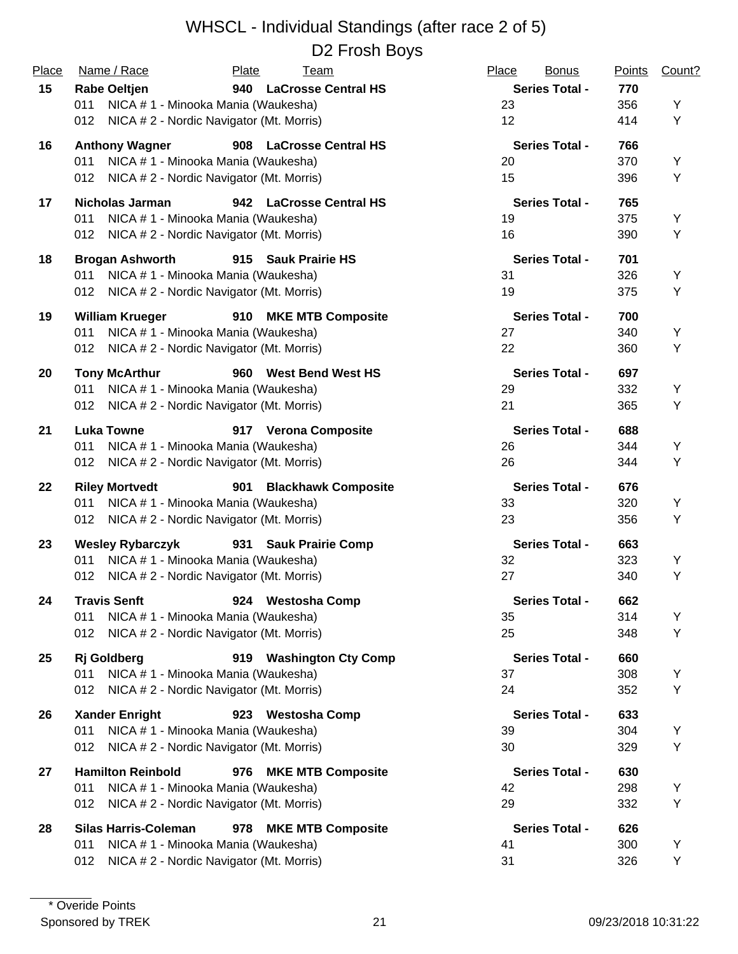| Place | Name / Race                                                           | Plate<br><u>Team</u>              | Place<br><b>Bonus</b> | <b>Points</b> | Count? |
|-------|-----------------------------------------------------------------------|-----------------------------------|-----------------------|---------------|--------|
| 15    | <b>Rabe Oeltjen</b>                                                   | 940 LaCrosse Central HS           | <b>Series Total -</b> | 770           |        |
|       | NICA # 1 - Minooka Mania (Waukesha)<br>011                            |                                   | 23                    | 356           | Υ      |
|       | NICA # 2 - Nordic Navigator (Mt. Morris)<br>012                       |                                   | 12                    | 414           | Y      |
| 16    | <b>Anthony Wagner</b>                                                 | 908 LaCrosse Central HS           | <b>Series Total -</b> | 766           |        |
|       | 011<br>NICA # 1 - Minooka Mania (Waukesha)                            |                                   | 20                    | 370           | Υ      |
|       | 012<br>NICA # 2 - Nordic Navigator (Mt. Morris)                       |                                   | 15                    | 396           | Υ      |
|       |                                                                       |                                   |                       |               |        |
| 17    | <b>Nicholas Jarman</b>                                                | 942 LaCrosse Central HS           | <b>Series Total -</b> | 765           |        |
|       | NICA # 1 - Minooka Mania (Waukesha)<br>011                            |                                   | 19                    | 375           | Y      |
|       | NICA # 2 - Nordic Navigator (Mt. Morris)<br>012                       |                                   | 16                    | 390           | Υ      |
| 18    | <b>Brogan Ashworth</b>                                                | 915 Sauk Prairie HS               | <b>Series Total -</b> | 701           |        |
|       | 011<br>NICA # 1 - Minooka Mania (Waukesha)                            |                                   | 31                    | 326           | Υ      |
|       | NICA # 2 - Nordic Navigator (Mt. Morris)<br>012                       |                                   | 19                    | 375           | Υ      |
|       |                                                                       |                                   |                       |               |        |
| 19    | <b>William Krueger</b>                                                | 910 MKE MTB Composite             | <b>Series Total -</b> | 700           |        |
|       | 011<br>NICA # 1 - Minooka Mania (Waukesha)                            |                                   | 27                    | 340           | Υ      |
|       | NICA # 2 - Nordic Navigator (Mt. Morris)<br>012                       |                                   | 22                    | 360           | Υ      |
| 20    | <b>Tony McArthur</b>                                                  | 960 West Bend West HS             | <b>Series Total -</b> | 697           |        |
|       | NICA # 1 - Minooka Mania (Waukesha)<br>011                            |                                   | 29                    | 332           | Υ      |
|       | NICA # 2 - Nordic Navigator (Mt. Morris)<br>012                       |                                   | 21                    | 365           | Υ      |
|       |                                                                       |                                   |                       |               |        |
| 21    | <b>Luka Towne</b>                                                     | 917 Verona Composite              | <b>Series Total -</b> | 688           |        |
|       | NICA # 1 - Minooka Mania (Waukesha)<br>011                            |                                   | 26                    | 344           | Υ      |
|       | NICA # 2 - Nordic Navigator (Mt. Morris)<br>012                       |                                   | 26                    | 344           | Υ      |
| 22    | <b>Riley Mortvedt</b>                                                 | <b>Blackhawk Composite</b><br>901 | <b>Series Total -</b> | 676           |        |
|       | NICA # 1 - Minooka Mania (Waukesha)<br>011                            |                                   | 33                    | 320           | Υ      |
|       | NICA # 2 - Nordic Navigator (Mt. Morris)<br>012                       |                                   | 23                    | 356           | Υ      |
| 23    |                                                                       |                                   | <b>Series Total -</b> | 663           |        |
|       | <b>Wesley Rybarczyk</b><br>NICA # 1 - Minooka Mania (Waukesha)<br>011 | 931 Sauk Prairie Comp             | 32                    | 323           | Υ      |
|       | NICA # 2 - Nordic Navigator (Mt. Morris)<br>012                       |                                   | 27                    | 340           | Υ      |
|       |                                                                       |                                   |                       |               |        |
| 24    | <b>Travis Senft</b>                                                   | 924 Westosha Comp                 | <b>Series Total -</b> | 662           |        |
|       | NICA # 1 - Minooka Mania (Waukesha)<br>011                            |                                   | 35                    | 314           | Y      |
|       | 012<br>NICA # 2 - Nordic Navigator (Mt. Morris)                       |                                   | 25                    | 348           | Y      |
| 25    | <b>Rj</b> Goldberg                                                    | 919 Washington Cty Comp           | <b>Series Total -</b> | 660           |        |
|       | NICA # 1 - Minooka Mania (Waukesha)<br>011                            |                                   | 37                    | 308           | Υ      |
|       | 012<br>NICA # 2 - Nordic Navigator (Mt. Morris)                       |                                   | 24                    | 352           | Υ      |
|       |                                                                       |                                   |                       |               |        |
| 26    | <b>Xander Enright</b>                                                 | 923 Westosha Comp                 | <b>Series Total -</b> | 633           |        |
|       | 011<br>NICA # 1 - Minooka Mania (Waukesha)                            |                                   | 39                    | 304           | Y      |
|       | NICA # 2 - Nordic Navigator (Mt. Morris)<br>012                       |                                   | 30                    | 329           | Υ      |
| 27    | <b>Hamilton Reinbold</b>                                              | <b>MKE MTB Composite</b><br>976   | <b>Series Total -</b> | 630           |        |
|       | NICA # 1 - Minooka Mania (Waukesha)<br>011                            |                                   | 42                    | 298           | Y      |
|       | NICA # 2 - Nordic Navigator (Mt. Morris)<br>012                       |                                   | 29                    | 332           | Υ      |
|       |                                                                       |                                   |                       |               |        |
| 28    | <b>Silas Harris-Coleman</b>                                           | 978 MKE MTB Composite             | <b>Series Total -</b> | 626           |        |
|       | NICA # 1 - Minooka Mania (Waukesha)<br>011                            |                                   | 41                    | 300           | Y      |
|       | NICA #2 - Nordic Navigator (Mt. Morris)<br>012                        |                                   | 31                    | 326           | Υ      |
|       |                                                                       |                                   |                       |               |        |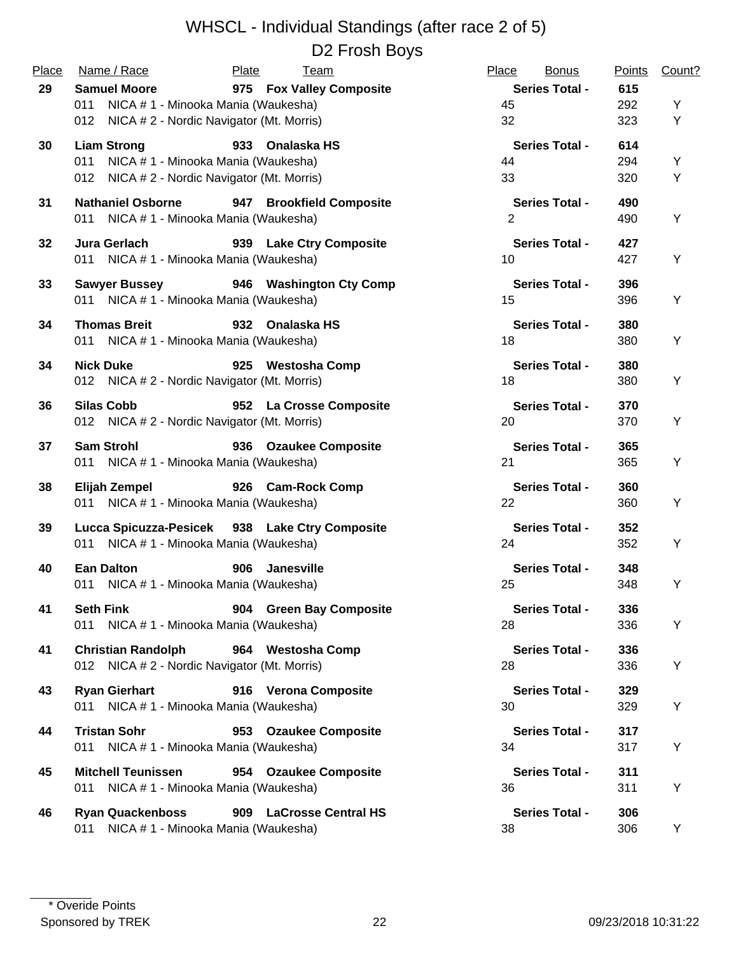| Place | Name / Race                                                             | Plate<br>Team                                  | Place<br><b>Bonus</b>       | <b>Points</b> | Count? |
|-------|-------------------------------------------------------------------------|------------------------------------------------|-----------------------------|---------------|--------|
| 29    | <b>Samuel Moore</b>                                                     | 975 Fox Valley Composite                       | <b>Series Total -</b>       | 615           |        |
|       | NICA # 1 - Minooka Mania (Waukesha)<br>011                              |                                                | 45                          | 292           | Υ      |
|       | 012 NICA # 2 - Nordic Navigator (Mt. Morris)                            |                                                | 32                          | 323           | Υ      |
| 30    | <b>Liam Strong</b>                                                      | 933 Onalaska HS                                | <b>Series Total -</b>       | 614           |        |
|       | 011 NICA # 1 - Minooka Mania (Waukesha)                                 |                                                | 44                          | 294           | Y      |
|       | 012 NICA # 2 - Nordic Navigator (Mt. Morris)                            |                                                | 33                          | 320           | Υ      |
| 31    | <b>Nathaniel Osborne</b>                                                | 947 Brookfield Composite                       | <b>Series Total -</b>       | 490           |        |
|       | 011 NICA # 1 - Minooka Mania (Waukesha)                                 |                                                | 2                           | 490           | Υ      |
| 32    | Jura Gerlach                                                            | 939 Lake Ctry Composite                        | <b>Series Total -</b>       | 427           |        |
|       | 011 NICA # 1 - Minooka Mania (Waukesha)                                 |                                                | 10                          | 427           | Υ      |
| 33    | <b>Sawyer Bussey</b>                                                    | 946 Washington Cty Comp                        | <b>Series Total -</b>       | 396           |        |
|       | 011 NICA # 1 - Minooka Mania (Waukesha)                                 |                                                | 15                          | 396           | Υ      |
| 34    | <b>Thomas Breit</b>                                                     | 932 Onalaska HS                                | <b>Series Total -</b>       | 380           |        |
|       | 011 NICA # 1 - Minooka Mania (Waukesha)                                 |                                                | 18                          | 380           | Y      |
| 34    | <b>Nick Duke</b>                                                        | 925 Westosha Comp                              | <b>Series Total -</b>       | 380           |        |
|       | 012 NICA # 2 - Nordic Navigator (Mt. Morris)                            |                                                | 18                          | 380           | Υ      |
| 36    | <b>Silas Cobb</b>                                                       | 952 La Crosse Composite                        | <b>Series Total -</b>       | 370           |        |
|       | 012 NICA # 2 - Nordic Navigator (Mt. Morris)                            |                                                | 20                          | 370           | Υ      |
| 37    | <b>Sam Strohl</b>                                                       | 936 Ozaukee Composite                          | <b>Series Total -</b>       | 365           |        |
|       | 011 NICA # 1 - Minooka Mania (Waukesha)                                 |                                                | 21                          | 365           | Υ      |
| 38    | Elijah Zempel                                                           | 926 Cam-Rock Comp                              | <b>Series Total -</b>       | 360           |        |
|       | 011 NICA # 1 - Minooka Mania (Waukesha)                                 |                                                | 22                          | 360           | Υ      |
| 39    |                                                                         | Lucca Spicuzza-Pesicek 938 Lake Ctry Composite | <b>Series Total -</b>       | 352           |        |
|       | 011 NICA # 1 - Minooka Mania (Waukesha)                                 |                                                | 24                          | 352           | Υ      |
| 40    | <b>Ean Dalton</b>                                                       | 906 Janesville                                 | <b>Series Total -</b>       | 348           |        |
|       | 011 NICA # 1 - Minooka Mania (Waukesha)                                 |                                                | 25                          | 348           | Y      |
| 41    | <b>Seth Fink</b>                                                        | 904 Green Bay Composite                        | <b>Series Total -</b>       | 336           |        |
|       | 011<br>NICA # 1 - Minooka Mania (Waukesha)                              |                                                | 28                          | 336           | Υ      |
| 41    | <b>Christian Randolph</b>                                               | 964 Westosha Comp                              | <b>Series Total -</b>       | 336           |        |
|       | 012 NICA # 2 - Nordic Navigator (Mt. Morris)                            |                                                | 28                          | 336           | Y      |
| 43    | <b>Ryan Gierhart</b>                                                    | 916 Verona Composite                           | <b>Series Total -</b>       | 329           |        |
|       | 011 NICA # 1 - Minooka Mania (Waukesha)                                 |                                                | 30                          | 329           | Υ      |
| 44    | <b>Tristan Sohr</b>                                                     | 953 Ozaukee Composite                          | <b>Series Total -</b>       | 317           |        |
|       | 011 NICA # 1 - Minooka Mania (Waukesha)                                 |                                                | 34                          | 317           | Υ      |
|       |                                                                         |                                                |                             |               |        |
| 45    | <b>Mitchell Teunissen</b><br>NICA # 1 - Minooka Mania (Waukesha)<br>011 | 954 Ozaukee Composite                          | <b>Series Total -</b><br>36 | 311<br>311    | Υ      |
|       |                                                                         |                                                |                             |               |        |
| 46    | <b>Ryan Quackenboss</b>                                                 | 909 LaCrosse Central HS                        | <b>Series Total -</b>       | 306           |        |
|       | NICA # 1 - Minooka Mania (Waukesha)<br>011                              |                                                | 38                          | 306           | Y      |